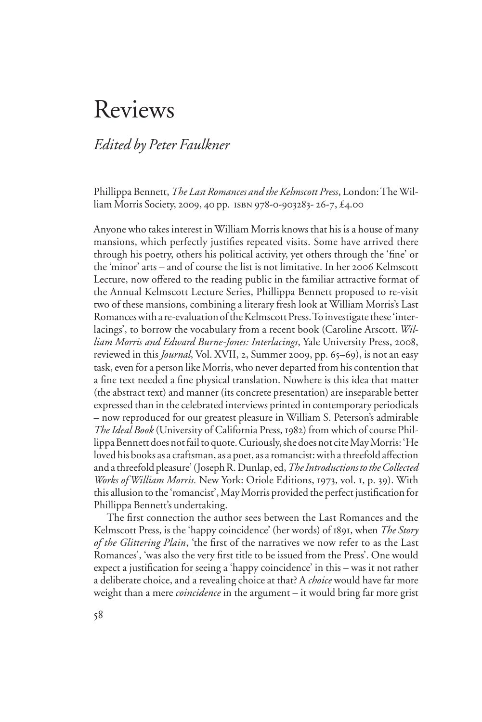# Reviews

# *Edited by Peter Faulkner*

Phillippa Bennett, *The Last Romances and the Kelmscott Press*, London: The William Morris Society, 2009, 40 pp. isbn 978-0-903283- 26-7, £4.00

Anyone who takes interest in William Morris knows that his is a house of many mansions, which perfectly justifies repeated visits. Some have arrived there through his poetry, others his political activity, yet others through the 'fine' or the 'minor' arts – and of course the list is not limitative. In her 2006 Kelmscott Lecture, now offered to the reading public in the familiar attractive format of the Annual Kelmscott Lecture Series, Phillippa Bennett proposed to re-visit two of these mansions, combining a literary fresh look at William Morris's Last Romances with a re-evaluation of the Kelmscott Press. To investigate these 'interlacings', to borrow the vocabulary from a recent book (Caroline Arscott. *William Morris and Edward Burne-Jones: Interlacings*, Yale University Press, 2008, reviewed in this *Journal*, Vol. XVII, 2, Summer 2009, pp. 65–69), is not an easy task, even for a person like Morris, who never departed from his contention that a fine text needed a fine physical translation. Nowhere is this idea that matter (the abstract text) and manner (its concrete presentation) are inseparable better expressed than in the celebrated interviews printed in contemporary periodicals – now reproduced for our greatest pleasure in William S. Peterson's admirable *The Ideal Book* (University of California Press, 1982) from which of course Phillippa Bennett does not fail to quote. Curiously, she does not cite May Morris: 'He loved his books as a craftsman, as a poet, as a romancist: with a threefold affection and a threefold pleasure' (Joseph R. Dunlap, ed, *The Introductions to the Collected Works of William Morris.* New York: Oriole Editions, 1973, vol. 1, p. 39). With this allusion to the 'romancist', May Morris provided the perfect justification for Phillippa Bennett's undertaking.

The first connection the author sees between the Last Romances and the Kelmscott Press, is the 'happy coincidence' (her words) of 1891, when *The Story*  of the Glittering Plain, 'the first of the narratives we now refer to as the Last Romances', 'was also the very first title to be issued from the Press'. One would expect a justification for seeing a 'happy coincidence' in this – was it not rather a deliberate choice, and a revealing choice at that? A *choice* would have far more weight than a mere *coincidence* in the argument – it would bring far more grist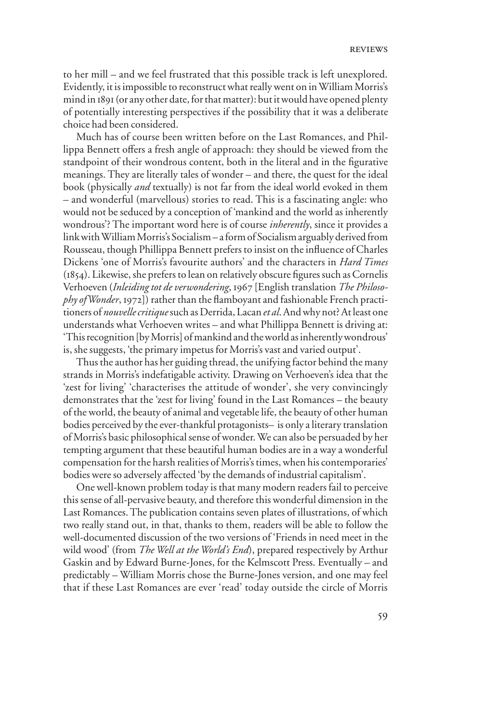to her mill – and we feel frustrated that this possible track is left unexplored. Evidently, it is impossible to reconstruct what really went on in William Morris's mind in 1891 (or any other date, for that matter): but it would have opened plenty of potentially interesting perspectives if the possibility that it was a deliberate choice had been considered.

Much has of course been written before on the Last Romances, and Phillippa Bennett offers a fresh angle of approach: they should be viewed from the standpoint of their wondrous content, both in the literal and in the figurative meanings. They are literally tales of wonder – and there, the quest for the ideal book (physically *and* textually) is not far from the ideal world evoked in them – and wonderful (marvellous) stories to read. This is a fascinating angle: who would not be seduced by a conception of 'mankind and the world as inherently wondrous'? The important word here is of course *inherently*, since it provides a link with William Morris's Socialism – a form of Socialism arguably derived from Rousseau, though Phillippa Bennett prefers to insist on the influence of Charles Dickens 'one of Morris's favourite authors' and the characters in *Hard Times*  $(1854)$ . Likewise, she prefers to lean on relatively obscure figures such as Cornelis Verhoeven (*Inleiding tot de verwondering*, 1967 [English translation *The Philosophy of Wonder*, 1972]) rather than the flamboyant and fashionable French practitioners of *nouvelle critique* such as Derrida, Lacan *et al*. And why not? At least one understands what Verhoeven writes – and what Phillippa Bennett is driving at: 'This recognition [by Morris] of mankind and the world as inherently wondrous' is, she suggests, 'the primary impetus for Morris's vast and varied output'.

Thus the author has her guiding thread, the unifying factor behind the many strands in Morris's indefatigable activity. Drawing on Verhoeven's idea that the 'zest for living' 'characterises the attitude of wonder', she very convincingly demonstrates that the 'zest for living' found in the Last Romances – the beauty of the world, the beauty of animal and vegetable life, the beauty of other human bodies perceived by the ever-thankful protagonists– is only a literary translation of Morris's basic philosophical sense of wonder. We can also be persuaded by her tempting argument that these beautiful human bodies are in a way a wonderful compensation for the harsh realities of Morris's times, when his contemporaries' bodies were so adversely affected 'by the demands of industrial capitalism'.

One well-known problem today is that many modern readers fail to perceive this sense of all-pervasive beauty, and therefore this wonderful dimension in the Last Romances. The publication contains seven plates of illustrations, of which two really stand out, in that, thanks to them, readers will be able to follow the well-documented discussion of the two versions of 'Friends in need meet in the wild wood' (from *The Well at the World's End*), prepared respectively by Arthur Gaskin and by Edward Burne-Jones, for the Kelmscott Press. Eventually – and predictably – William Morris chose the Burne-Jones version, and one may feel that if these Last Romances are ever 'read' today outside the circle of Morris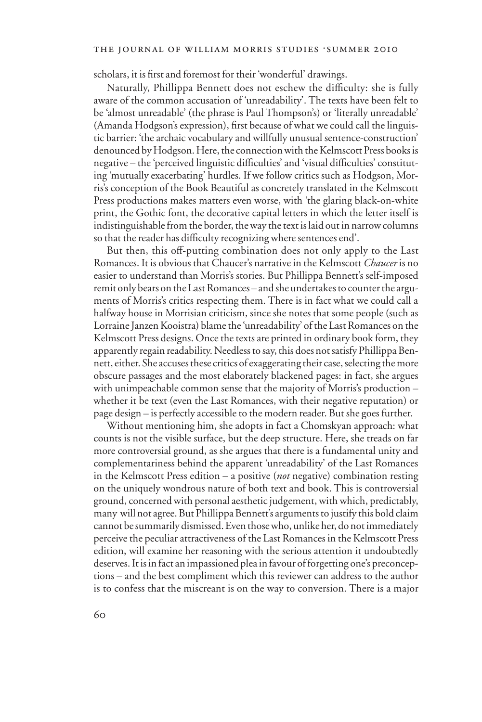#### THE JOURNAL OF WILLIAM MORRIS STUDIES . SUMMER 2010

scholars, it is first and foremost for their 'wonderful' drawings.

Naturally, Phillippa Bennett does not eschew the difficulty: she is fully aware of the common accusation of 'unreadability'. The texts have been felt to be 'almost unreadable' (the phrase is Paul Thompson's) or 'literally unreadable' (Amanda Hodgson's expression), first because of what we could call the linguistic barrier: 'the archaic vocabulary and willfully unusual sentence-construction' denounced by Hodgson. Here, the connection with the Kelmscott Press books is negative – the 'perceived linguistic difficulties' and 'visual difficulties' constituting 'mutually exacerbating' hurdles. If we follow critics such as Hodgson, Morris's conception of the Book Beautiful as concretely translated in the Kelmscott Press productions makes matters even worse, with 'the glaring black-on-white print, the Gothic font, the decorative capital letters in which the letter itself is indistinguishable from the border, the way the text is laid out in narrow columns so that the reader has difficulty recognizing where sentences end'.

But then, this off-putting combination does not only apply to the Last Romances. It is obvious that Chaucer's narrative in the Kelmscott *Chaucer* is no easier to understand than Morris's stories. But Phillippa Bennett's self-imposed remit only bears on the Last Romances – and she undertakes to counter the arguments of Morris's critics respecting them. There is in fact what we could call a halfway house in Morrisian criticism, since she notes that some people (such as Lorraine Janzen Kooistra) blame the 'unreadability' of the Last Romances on the Kelmscott Press designs. Once the texts are printed in ordinary book form, they apparently regain readability. Needless to say, this does not satisfy Phillippa Bennett, either. She accuses these critics of exaggerating their case, selecting the more obscure passages and the most elaborately blackened pages: in fact, she argues with unimpeachable common sense that the majority of Morris's production – whether it be text (even the Last Romances, with their negative reputation) or page design – is perfectly accessible to the modern reader. But she goes further.

Without mentioning him, she adopts in fact a Chomskyan approach: what counts is not the visible surface, but the deep structure. Here, she treads on far more controversial ground, as she argues that there is a fundamental unity and complementariness behind the apparent 'unreadability' of the Last Romances in the Kelmscott Press edition – a positive (*not* negative) combination resting on the uniquely wondrous nature of both text and book. This is controversial ground, concerned with personal aesthetic judgement, with which, predictably, many will not agree. But Phillippa Bennett's arguments to justify this bold claim cannot be summarily dismissed. Even those who, unlike her, do not immediately perceive the peculiar attractiveness of the Last Romances in the Kelmscott Press edition, will examine her reasoning with the serious attention it undoubtedly deserves. It is in fact an impassioned plea in favour of forgetting one's preconceptions – and the best compliment which this reviewer can address to the author is to confess that the miscreant is on the way to conversion. There is a major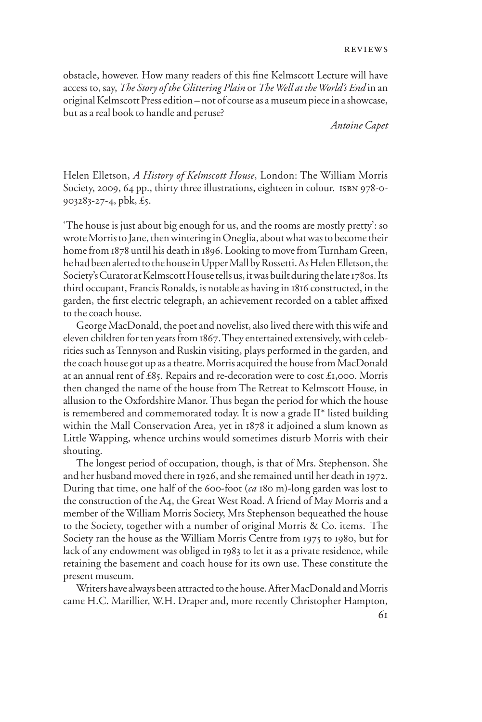obstacle, however. How many readers of this fine Kelmscott Lecture will have access to, say, *The Story of the Glittering Plain* or *The Well at the World's End* in an original Kelmscott Press edition – not of course as a museum piece in a showcase, but as a real book to handle and peruse?

*Antoine Capet*

Helen Elletson, *A History of Kelmscott House*, London: The William Morris Society, 2009, 64 pp., thirty three illustrations, eighteen in colour. ISBN 978-0-903283-27-4, pbk, £5.

'The house is just about big enough for us, and the rooms are mostly pretty': so wrote Morris to Jane, then wintering in Oneglia, about what was to become their home from 1878 until his death in 1896. Looking to move from Turnham Green, he had been alerted to the house in Upper Mall by Rossetti. As Helen Elletson, the Society's Curator at Kelmscott House tells us, it was built during the late 1780s. Its third occupant, Francis Ronalds, is notable as having in 1816 constructed, in the garden, the first electric telegraph, an achievement recorded on a tablet affixed to the coach house.

George MacDonald, the poet and novelist, also lived there with this wife and eleven children for ten years from 1867. They entertained extensively, with celebrities such as Tennyson and Ruskin visiting, plays performed in the garden, and the coach house got up as a theatre. Morris acquired the house from MacDonald at an annual rent of £85. Repairs and re-decoration were to cost £1,000. Morris then changed the name of the house from The Retreat to Kelmscott House, in allusion to the Oxfordshire Manor. Thus began the period for which the house is remembered and commemorated today. It is now a grade II\* listed building within the Mall Conservation Area, yet in 1878 it adjoined a slum known as Little Wapping, whence urchins would sometimes disturb Morris with their shouting.

The longest period of occupation, though, is that of Mrs. Stephenson. She and her husband moved there in 1926, and she remained until her death in 1972. During that time, one half of the 600-foot (*ca* 180 m)-long garden was lost to the construction of the A4, the Great West Road. A friend of May Morris and a member of the William Morris Society, Mrs Stephenson bequeathed the house to the Society, together with a number of original Morris & Co. items. The Society ran the house as the William Morris Centre from 1975 to 1980, but for lack of any endowment was obliged in 1983 to let it as a private residence, while retaining the basement and coach house for its own use. These constitute the present museum.

Writers have always been attracted to the house. After MacDonald and Morris came H.C. Marillier, W.H. Draper and, more recently Christopher Hampton,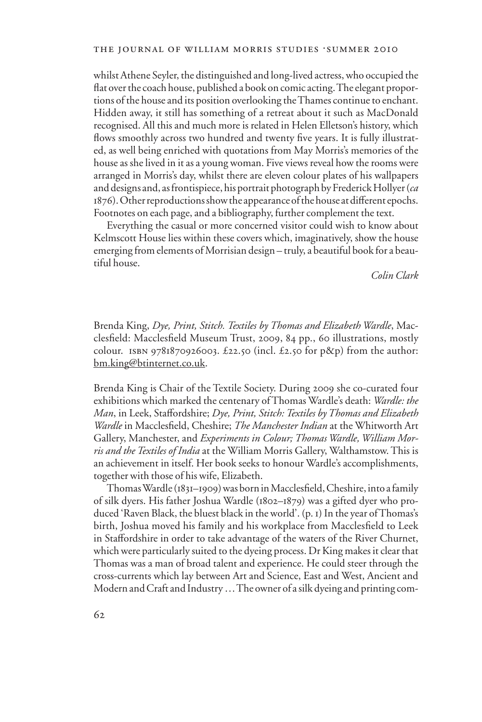whilst Athene Seyler, the distinguished and long-lived actress, who occupied the flat over the coach house, published a book on comic acting. The elegant proportions of the house and its position overlooking the Thames continue to enchant. Hidden away, it still has something of a retreat about it such as MacDonald recognised. All this and much more is related in Helen Elletson's history, which flows smoothly across two hundred and twenty five years. It is fully illustrated, as well being enriched with quotations from May Morris's memories of the house as she lived in it as a young woman. Five views reveal how the rooms were arranged in Morris's day, whilst there are eleven colour plates of his wallpapers and designs and, as frontispiece, his portrait photograph by Frederick Hollyer (*ca*  1876). Other reproductions show the appearance of the house at different epochs. Footnotes on each page, and a bibliography, further complement the text.

Everything the casual or more concerned visitor could wish to know about Kelmscott House lies within these covers which, imaginatively, show the house emerging from elements of Morrisian design – truly, a beautiful book for a beautiful house.

 *Colin Clark*

Brenda King, *Dye, Print, Stitch. Textiles by Thomas and Elizabeth Wardle*, Macclesfield: Macclesfield Museum Trust, 2009, 84 pp., 60 illustrations, mostly colour. ISBN 9781870926003.  $£22.50$  (incl.  $£2.50$  for p&p) from the author: bm.king@btinternet.co.uk.

Brenda King is Chair of the Textile Society. During 2009 she co-curated four exhibitions which marked the centenary of Thomas Wardle's death: *Wardle: the Man*, in Leek, Staffordshire; *Dye, Print, Stitch: Textiles by Thomas and Elizabeth Wardle* in Macclesfield, Cheshire; *The Manchester Indian* at the Whitworth Art Gallery, Manchester, and *Experiments in Colour; Thomas Wardle, William Morris and the Textiles of India* at the William Morris Gallery, Walthamstow. This is an achievement in itself. Her book seeks to honour Wardle's accomplishments, together with those of his wife, Elizabeth.

Thomas Wardle (1831–1909) was born in Macclesfield, Cheshire, into a family of silk dyers. His father Joshua Wardle (1802–1879) was a gifted dyer who produced 'Raven Black, the bluest black in the world'. (p. 1) In the year of Thomas's birth, Joshua moved his family and his workplace from Macclesfield to Leek in Staffordshire in order to take advantage of the waters of the River Churnet, which were particularly suited to the dyeing process. Dr King makes it clear that Thomas was a man of broad talent and experience. He could steer through the cross-currents which lay between Art and Science, East and West, Ancient and Modern and Craft and Industry … The owner of a silk dyeing and printing com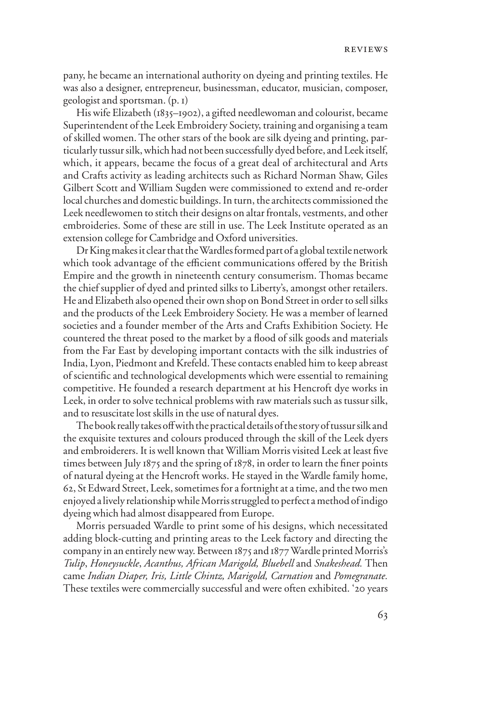pany, he became an international authority on dyeing and printing textiles. He was also a designer, entrepreneur, businessman, educator, musician, composer, geologist and sportsman. (p. 1)

His wife Elizabeth (1835–1902), a gifted needlewoman and colourist, became Superintendent of the Leek Embroidery Society, training and organising a team of skilled women. The other stars of the book are silk dyeing and printing, particularly tussur silk, which had not been successfully dyed before, and Leek itself, which, it appears, became the focus of a great deal of architectural and Arts and Crafts activity as leading architects such as Richard Norman Shaw, Giles Gilbert Scott and William Sugden were commissioned to extend and re-order local churches and domestic buildings. In turn, the architects commissioned the Leek needlewomen to stitch their designs on altar frontals, vestments, and other embroideries. Some of these are still in use. The Leek Institute operated as an extension college for Cambridge and Oxford universities.

Dr King makes it clear that the Wardles formed part of a global textile network which took advantage of the efficient communications offered by the British Empire and the growth in nineteenth century consumerism. Thomas became the chief supplier of dyed and printed silks to Liberty's, amongst other retailers. He and Elizabeth also opened their own shop on Bond Street in order to sell silks and the products of the Leek Embroidery Society. He was a member of learned societies and a founder member of the Arts and Crafts Exhibition Society. He countered the threat posed to the market by a flood of silk goods and materials from the Far East by developing important contacts with the silk industries of India, Lyon, Piedmont and Krefeld. These contacts enabled him to keep abreast of scientific and technological developments which were essential to remaining competitive. He founded a research department at his Hencroft dye works in Leek, in order to solve technical problems with raw materials such as tussur silk, and to resuscitate lost skills in the use of natural dyes.

The book really takes off with the practical details of the story of tussur silk and the exquisite textures and colours produced through the skill of the Leek dyers and embroiderers. It is well known that William Morris visited Leek at least five times between July  $1875$  and the spring of  $1878$ , in order to learn the finer points of natural dyeing at the Hencroft works. He stayed in the Wardle family home, 62, St Edward Street, Leek, sometimes for a fortnight at a time, and the two men enjoyed a lively relationship while Morris struggled to perfect a method of indigo dyeing which had almost disappeared from Europe.

Morris persuaded Wardle to print some of his designs, which necessitated adding block-cutting and printing areas to the Leek factory and directing the company in an entirely new way. Between 1875 and 1877 Wardle printed Morris's *Tulip*, *Honeysuckle*, *Acanthus, African Marigold, Bluebell* and *Snakeshead.* Then came *Indian Diaper, Iris, Little Chintz, Marigold, Carnation* and *Pomegranate.* These textiles were commercially successful and were often exhibited. '20 years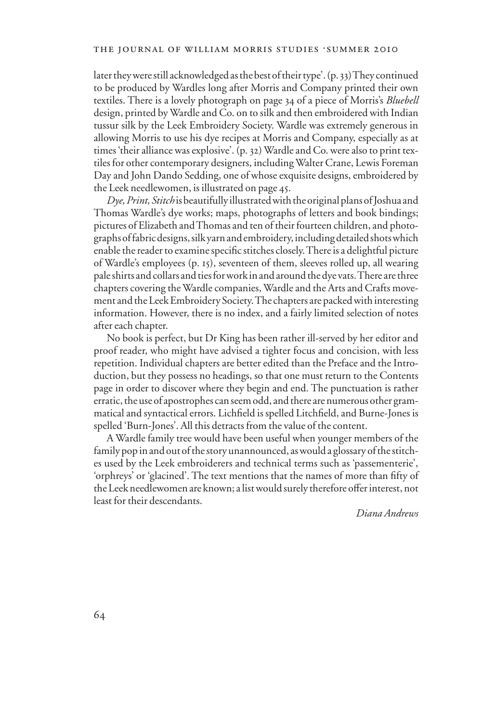later they were still acknowledged as the best of their type'. (p. 33) They continued to be produced by Wardles long after Morris and Company printed their own textiles. There is a lovely photograph on page 34 of a piece of Morris's *Bluebell* design, printed by Wardle and Co. on to silk and then embroidered with Indian tussur silk by the Leek Embroidery Society. Wardle was extremely generous in allowing Morris to use his dye recipes at Morris and Company, especially as at times 'their alliance was explosive'. (p. 32) Wardle and Co. were also to print textiles for other contemporary designers, including Walter Crane, Lewis Foreman Day and John Dando Sedding, one of whose exquisite designs, embroidered by the Leek needlewomen, is illustrated on page 45.

*Dye, Print, Stitch* is beautifully illustrated with the original plans of Joshua and Thomas Wardle's dye works; maps, photographs of letters and book bindings; pictures of Elizabeth and Thomas and ten of their fourteen children, and photographs of fabric designs, silk yarn and embroidery, including detailed shots which enable the reader to examine specific stitches closely. There is a delightful picture of Wardle's employees (p. 15), seventeen of them, sleeves rolled up, all wearing pale shirts and collars and ties for work in and around the dye vats. There are three chapters covering the Wardle companies, Wardle and the Arts and Crafts movement and the Leek Embroidery Society. The chapters are packed with interesting information. However, there is no index, and a fairly limited selection of notes after each chapter.

No book is perfect, but Dr King has been rather ill-served by her editor and proof reader, who might have advised a tighter focus and concision, with less repetition. Individual chapters are better edited than the Preface and the Introduction, but they possess no headings, so that one must return to the Contents page in order to discover where they begin and end. The punctuation is rather erratic, the use of apostrophes can seem odd, and there are numerous other grammatical and syntactical errors. Lichfield is spelled Litchfield, and Burne-Jones is spelled 'Burn-Jones'. All this detracts from the value of the content.

A Wardle family tree would have been useful when younger members of the family pop in and out of the story unannounced, as would a glossary of the stitches used by the Leek embroiderers and technical terms such as 'passementerie', 'orphreys' or 'glacined'. The text mentions that the names of more than fifty of the Leek needlewomen are known; a list would surely therefore offer interest, not least for their descendants.

*Diana Andrews*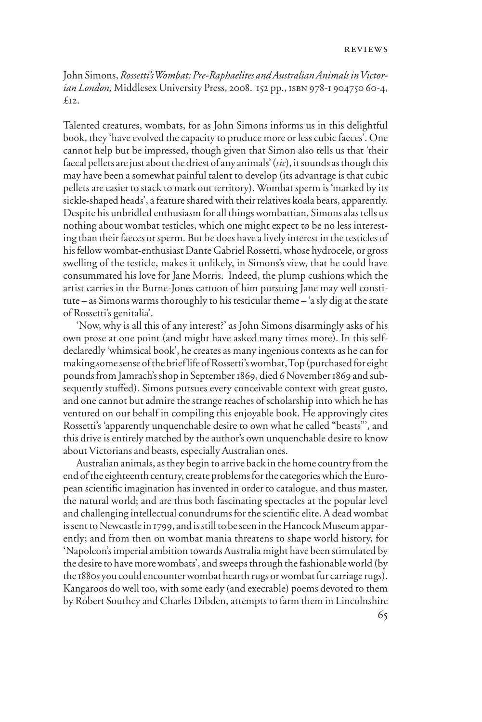John Simons, *Rossetti's Wombat: Pre-Raphaelites and Australian Animals in Victorian London,* Middlesex University Press, 2008. 152 pp., isbn 978-1 904750 60-4,  $f_{12}$ 

Talented creatures, wombats, for as John Simons informs us in this delightful book, they 'have evolved the capacity to produce more or less cubic faeces'. One cannot help but be impressed, though given that Simon also tells us that 'their faecal pellets are just about the driest of any animals' (*sic*), it sounds as though this may have been a somewhat painful talent to develop (its advantage is that cubic pellets are easier to stack to mark out territory). Wombat sperm is 'marked by its sickle-shaped heads', a feature shared with their relatives koala bears, apparently. Despite his unbridled enthusiasm for all things wombattian, Simons alas tells us nothing about wombat testicles, which one might expect to be no less interesting than their faeces or sperm. But he does have a lively interest in the testicles of his fellow wombat-enthusiast Dante Gabriel Rossetti, whose hydrocele, or gross swelling of the testicle, makes it unlikely, in Simons's view, that he could have consummated his love for Jane Morris. Indeed, the plump cushions which the artist carries in the Burne-Jones cartoon of him pursuing Jane may well constitute – as Simons warms thoroughly to his testicular theme – 'a sly dig at the state of Rossetti's genitalia'.

'Now, why is all this of any interest?' as John Simons disarmingly asks of his own prose at one point (and might have asked many times more). In this selfdeclaredly 'whimsical book', he creates as many ingenious contexts as he can for making some sense of the brief life of Rossetti's wombat, Top (purchased for eight pounds from Jamrach's shop in September 1869, died 6 November 1869 and subsequently stuffed). Simons pursues every conceivable context with great gusto, and one cannot but admire the strange reaches of scholarship into which he has ventured on our behalf in compiling this enjoyable book. He approvingly cites Rossetti's 'apparently unquenchable desire to own what he called "beasts"', and this drive is entirely matched by the author's own unquenchable desire to know about Victorians and beasts, especially Australian ones.

Australian animals, as they begin to arrive back in the home country from the end of the eighteenth century, create problems for the categories which the European scientific imagination has invented in order to catalogue, and thus master, the natural world; and are thus both fascinating spectacles at the popular level and challenging intellectual conundrums for the scientific elite. A dead wombat is sent to Newcastle in 1799, and is still to be seen in the Hancock Museum apparently; and from then on wombat mania threatens to shape world history, for 'Napoleon's imperial ambition towards Australia might have been stimulated by the desire to have more wombats', and sweeps through the fashionable world (by the 1880s you could encounter wombat hearth rugs or wombat fur carriage rugs). Kangaroos do well too, with some early (and execrable) poems devoted to them by Robert Southey and Charles Dibden, attempts to farm them in Lincolnshire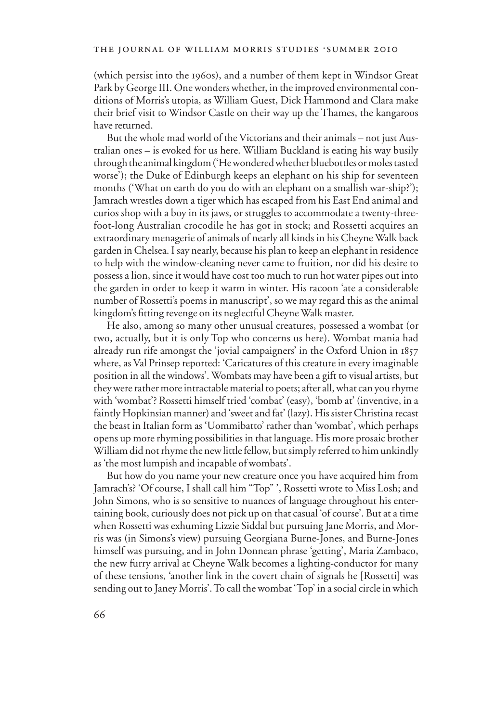(which persist into the 1960s), and a number of them kept in Windsor Great Park by George III. One wonders whether, in the improved environmental conditions of Morris's utopia, as William Guest, Dick Hammond and Clara make their brief visit to Windsor Castle on their way up the Thames, the kangaroos have returned.

But the whole mad world of the Victorians and their animals – not just Australian ones – is evoked for us here. William Buckland is eating his way busily through the animal kingdom ('He wondered whether bluebottles or moles tasted worse'); the Duke of Edinburgh keeps an elephant on his ship for seventeen months ('What on earth do you do with an elephant on a smallish war-ship?'); Jamrach wrestles down a tiger which has escaped from his East End animal and curios shop with a boy in its jaws, or struggles to accommodate a twenty-threefoot-long Australian crocodile he has got in stock; and Rossetti acquires an extraordinary menagerie of animals of nearly all kinds in his Cheyne Walk back garden in Chelsea. I say nearly, because his plan to keep an elephant in residence to help with the window-cleaning never came to fruition, nor did his desire to possess a lion, since it would have cost too much to run hot water pipes out into the garden in order to keep it warm in winter. His racoon 'ate a considerable number of Rossetti's poems in manuscript', so we may regard this as the animal kingdom's fitting revenge on its neglectful Cheyne Walk master.

He also, among so many other unusual creatures, possessed a wombat (or two, actually, but it is only Top who concerns us here). Wombat mania had already run rife amongst the 'jovial campaigners' in the Oxford Union in 1857 where, as Val Prinsep reported: 'Caricatures of this creature in every imaginable position in all the windows'. Wombats may have been a gift to visual artists, but they were rather more intractable material to poets; after all, what can you rhyme with 'wombat'? Rossetti himself tried 'combat' (easy), 'bomb at' (inventive, in a faintly Hopkinsian manner) and 'sweet and fat' (lazy). His sister Christina recast the beast in Italian form as 'Uommibatto' rather than 'wombat', which perhaps opens up more rhyming possibilities in that language. His more prosaic brother William did not rhyme the new little fellow, but simply referred to him unkindly as 'the most lumpish and incapable of wombats'.

But how do you name your new creature once you have acquired him from Jamrach's? 'Of course, I shall call him "Top" ', Rossetti wrote to Miss Losh; and John Simons, who is so sensitive to nuances of language throughout his entertaining book, curiously does not pick up on that casual 'of course'. But at a time when Rossetti was exhuming Lizzie Siddal but pursuing Jane Morris, and Morris was (in Simons's view) pursuing Georgiana Burne-Jones, and Burne-Jones himself was pursuing, and in John Donnean phrase 'getting', Maria Zambaco, the new furry arrival at Cheyne Walk becomes a lighting-conductor for many of these tensions, 'another link in the covert chain of signals he [Rossetti] was sending out to Janey Morris'. To call the wombat 'Top' in a social circle in which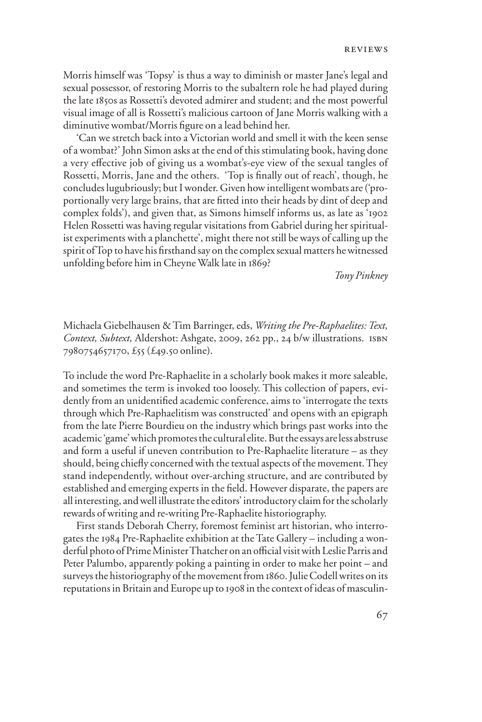Morris himself was 'Topsy' is thus a way to diminish or master Jane's legal and sexual possessor, of restoring Morris to the subaltern role he had played during the late 1850s as Rossetti's devoted admirer and student; and the most powerful visual image of all is Rossetti's malicious cartoon of Jane Morris walking with a diminutive wombat/Morris figure on a lead behind her.

'Can we stretch back into a Victorian world and smell it with the keen sense of a wombat?' John Simon asks at the end of this stimulating book, having done a very effective job of giving us a wombat's-eye view of the sexual tangles of Rossetti, Morris, Jane and the others. 'Top is finally out of reach', though, he concludes lugubriously; but I wonder. Given how intelligent wombats are ('proportionally very large brains, that are fitted into their heads by dint of deep and complex folds'), and given that, as Simons himself informs us, as late as '1902 Helen Rossetti was having regular visitations from Gabriel during her spiritualist experiments with a planchette', might there not still be ways of calling up the spirit of Top to have his firsthand say on the complex sexual matters he witnessed unfolding before him in Cheyne Walk late in 1869?

 *Tony Pinkney* 

Michaela Giebelhausen & Tim Barringer, eds, *Writing the Pre-Raphaelites: Text, Context, Subtext,* Aldershot: Ashgate, 2009, 262 pp., 24 b/w illustrations. isbn 7980754657170, £55 (£49.50 online).

To include the word Pre-Raphaelite in a scholarly book makes it more saleable, and sometimes the term is invoked too loosely. This collection of papers, evidently from an unidentified academic conference, aims to 'interrogate the texts through which Pre-Raphaelitism was constructed' and opens with an epigraph from the late Pierre Bourdieu on the industry which brings past works into the academic 'game' which promotes the cultural elite. But the essays are less abstruse and form a useful if uneven contribution to Pre-Raphaelite literature – as they should, being chiefly concerned with the textual aspects of the movement. They stand independently, without over-arching structure, and are contributed by established and emerging experts in the field. However disparate, the papers are all interesting, and well illustrate the editors' introductory claim for the scholarly rewards of writing and re-writing Pre-Raphaelite historiography.

First stands Deborah Cherry, foremost feminist art historian, who interrogates the 1984 Pre-Raphaelite exhibition at the Tate Gallery – including a wonderful photo of Prime Minister Thatcher on an official visit with Leslie Parris and Peter Palumbo, apparently poking a painting in order to make her point – and surveys the historiography of the movement from 1860. Julie Codell writes on its reputations in Britain and Europe up to 1908 in the context of ideas of masculin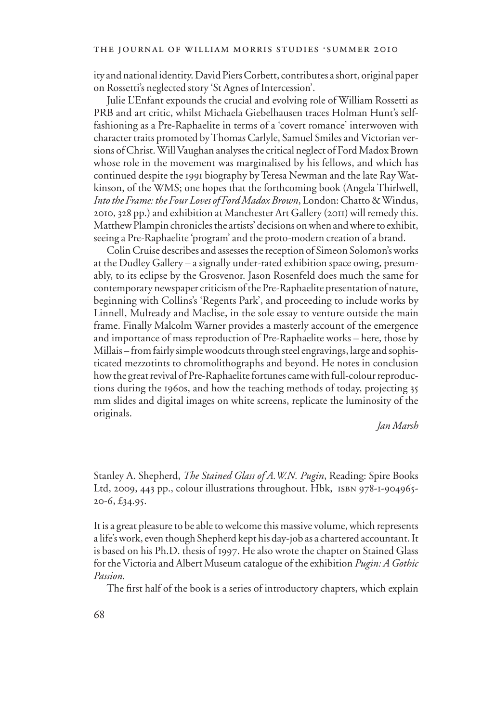ity and national identity. David Piers Corbett, contributes a short, original paper on Rossetti's neglected story 'St Agnes of Intercession'.

Julie L'Enfant expounds the crucial and evolving role of William Rossetti as PRB and art critic, whilst Michaela Giebelhausen traces Holman Hunt's selffashioning as a Pre-Raphaelite in terms of a 'covert romance' interwoven with character traits promoted by Thomas Carlyle, Samuel Smiles and Victorian versions of Christ. Will Vaughan analyses the critical neglect of Ford Madox Brown whose role in the movement was marginalised by his fellows, and which has continued despite the 1991 biography by Teresa Newman and the late Ray Watkinson, of the WMS; one hopes that the forthcoming book (Angela Thirlwell, *Into the Frame: the Four Loves of Ford Madox Brown*, London: Chatto & Windus, 2010, 328 pp.) and exhibition at Manchester Art Gallery (2011) will remedy this. Matthew Plampin chronicles the artists' decisions on when and where to exhibit, seeing a Pre-Raphaelite 'program' and the proto-modern creation of a brand.

Colin Cruise describes and assesses the reception of Simeon Solomon's works at the Dudley Gallery – a signally under-rated exhibition space owing, presumably, to its eclipse by the Grosvenor. Jason Rosenfeld does much the same for contemporary newspaper criticism of the Pre-Raphaelite presentation of nature, beginning with Collins's 'Regents Park', and proceeding to include works by Linnell, Mulready and Maclise, in the sole essay to venture outside the main frame. Finally Malcolm Warner provides a masterly account of the emergence and importance of mass reproduction of Pre-Raphaelite works – here, those by Millais – from fairly simple woodcuts through steel engravings, large and sophisticated mezzotints to chromolithographs and beyond. He notes in conclusion how the great revival of Pre-Raphaelite fortunes came with full-colour reproductions during the 1960s, and how the teaching methods of today, projecting 35 mm slides and digital images on white screens, replicate the luminosity of the originals.

### *Jan Marsh*

Stanley A. Shepherd, *The Stained Glass of A.W.N. Pugin*, Reading: Spire Books Ltd, 2009, 443 pp., colour illustrations throughout. Hbk, isbn 978-1-904965- 20-6, £34.95.

It is a great pleasure to be able to welcome this massive volume, which represents a life's work, even though Shepherd kept his day-job as a chartered accountant. It is based on his Ph.D. thesis of 1997. He also wrote the chapter on Stained Glass for the Victoria and Albert Museum catalogue of the exhibition *Pugin: A Gothic Passion.*

The first half of the book is a series of introductory chapters, which explain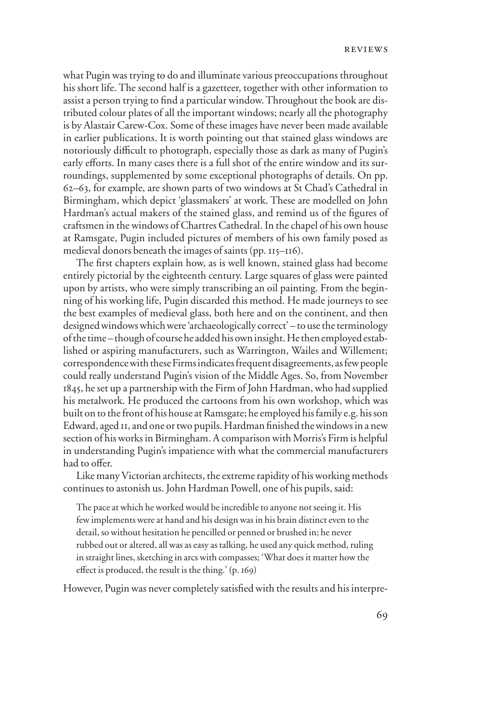what Pugin was trying to do and illuminate various preoccupations throughout his short life. The second half is a gazetteer, together with other information to assist a person trying to find a particular window. Throughout the book are distributed colour plates of all the important windows; nearly all the photography is by Alastair Carew-Cox. Some of these images have never been made available in earlier publications. It is worth pointing out that stained glass windows are notoriously difficult to photograph, especially those as dark as many of Pugin's early efforts. In many cases there is a full shot of the entire window and its surroundings, supplemented by some exceptional photographs of details. On pp. 62–63, for example, are shown parts of two windows at St Chad's Cathedral in Birmingham, which depict 'glassmakers' at work. These are modelled on John Hardman's actual makers of the stained glass, and remind us of the figures of craftsmen in the windows of Chartres Cathedral. In the chapel of his own house at Ramsgate, Pugin included pictures of members of his own family posed as medieval donors beneath the images of saints (pp. 115–116).

The first chapters explain how, as is well known, stained glass had become entirely pictorial by the eighteenth century. Large squares of glass were painted upon by artists, who were simply transcribing an oil painting. From the beginning of his working life, Pugin discarded this method. He made journeys to see the best examples of medieval glass, both here and on the continent, and then designed windows which were 'archaeologically correct' – to use the terminology of the time – though of course he added his own insight. He then employed established or aspiring manufacturers, such as Warrington, Wailes and Willement; correspondence with these Firms indicates frequent disagreements, as few people could really understand Pugin's vision of the Middle Ages. So, from November 1845, he set up a partnership with the Firm of John Hardman, who had supplied his metalwork. He produced the cartoons from his own workshop, which was built on to the front of his house at Ramsgate; he employed his family e.g. his son Edward, aged II, and one or two pupils. Hardman finished the windows in a new section of his works in Birmingham. A comparison with Morris's Firm is helpful in understanding Pugin's impatience with what the commercial manufacturers had to offer.

Like many Victorian architects, the extreme rapidity of his working methods continues to astonish us. John Hardman Powell, one of his pupils, said:

The pace at which he worked would be incredible to anyone not seeing it. His few implements were at hand and his design was in his brain distinct even to the detail, so without hesitation he pencilled or penned or brushed in; he never rubbed out or altered, all was as easy as talking, he used any quick method, ruling in straight lines, sketching in arcs with compasses; 'What does it matter how the effect is produced, the result is the thing.'  $(p. 169)$ 

However, Pugin was never completely satisfied with the results and his interpre-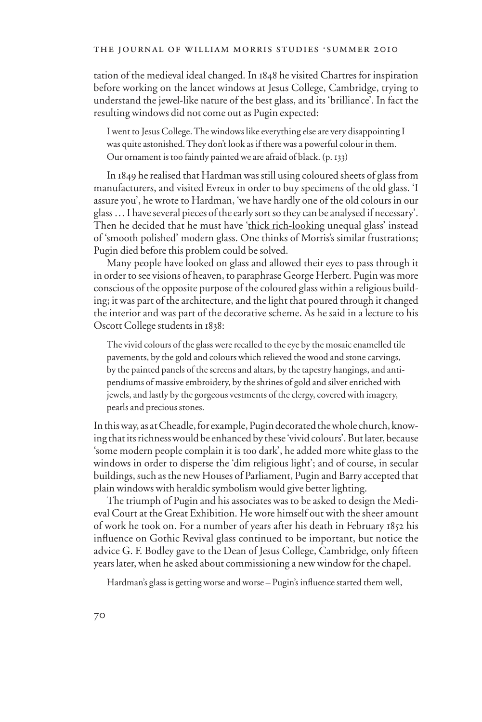#### THE JOURNAL OF WILLIAM MORRIS STUDIES .SUMMER 2010

tation of the medieval ideal changed. In 1848 he visited Chartres for inspiration before working on the lancet windows at Jesus College, Cambridge, trying to understand the jewel-like nature of the best glass, and its 'brilliance'. In fact the resulting windows did not come out as Pugin expected:

I went to Jesus College. The windows like everything else are very disappointing I was quite astonished. They don't look as if there was a powerful colour in them. Our ornament is too faintly painted we are afraid of black. (p. 133)

In 1849 he realised that Hardman was still using coloured sheets of glass from manufacturers, and visited Evreux in order to buy specimens of the old glass. 'I assure you', he wrote to Hardman, 'we have hardly one of the old colours in our glass … I have several pieces of the early sort so they can be analysed if necessary'. Then he decided that he must have 'thick rich-looking unequal glass' instead of 'smooth polished' modern glass. One thinks of Morris's similar frustrations; Pugin died before this problem could be solved.

Many people have looked on glass and allowed their eyes to pass through it in order to see visions of heaven, to paraphrase George Herbert. Pugin was more conscious of the opposite purpose of the coloured glass within a religious building; it was part of the architecture, and the light that poured through it changed the interior and was part of the decorative scheme. As he said in a lecture to his Oscott College students in 1838:

The vivid colours of the glass were recalled to the eye by the mosaic enamelled tile pavements, by the gold and colours which relieved the wood and stone carvings, by the painted panels of the screens and altars, by the tapestry hangings, and antipendiums of massive embroidery, by the shrines of gold and silver enriched with jewels, and lastly by the gorgeous vestments of the clergy, covered with imagery, pearls and precious stones.

In this way, as at Cheadle, for example, Pugin decorated the whole church, knowing that its richness would be enhanced by these 'vivid colours'. But later, because 'some modern people complain it is too dark', he added more white glass to the windows in order to disperse the 'dim religious light'; and of course, in secular buildings, such as the new Houses of Parliament, Pugin and Barry accepted that plain windows with heraldic symbolism would give better lighting.

The triumph of Pugin and his associates was to be asked to design the Medieval Court at the Great Exhibition. He wore himself out with the sheer amount of work he took on. For a number of years after his death in February 1852 his influence on Gothic Revival glass continued to be important, but notice the advice G. F. Bodley gave to the Dean of Jesus College, Cambridge, only fifteen years later, when he asked about commissioning a new window for the chapel.

Hardman's glass is getting worse and worse - Pugin's influence started them well,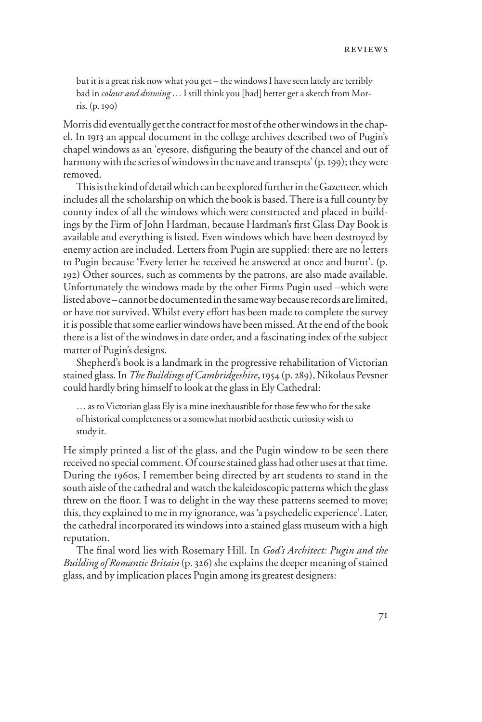but it is a great risk now what you get – the windows I have seen lately are terribly bad in *colour and drawing* … I still think you [had] better get a sketch from Morris. (p. 190)

Morris did eventually get the contract for most of the other windows in the chapel. In 1913 an appeal document in the college archives described two of Pugin's chapel windows as an 'eyesore, disfiguring the beauty of the chancel and out of harmony with the series of windows in the nave and transepts' (p. 199); they were removed.

This is the kind of detail which can be explored further in the Gazetteer, which includes all the scholarship on which the book is based. There is a full county by county index of all the windows which were constructed and placed in buildings by the Firm of John Hardman, because Hardman's first Glass Day Book is available and everything is listed. Even windows which have been destroyed by enemy action are included. Letters from Pugin are supplied: there are no letters to Pugin because 'Every letter he received he answered at once and burnt'. (p. 192) Other sources, such as comments by the patrons, are also made available. Unfortunately the windows made by the other Firms Pugin used –which were listed above – cannot be documented in the same way because records are limited, or have not survived. Whilst every effort has been made to complete the survey it is possible that some earlier windows have been missed. At the end of the book there is a list of the windows in date order, and a fascinating index of the subject matter of Pugin's designs.

Shepherd's book is a landmark in the progressive rehabilitation of Victorian stained glass. In *The Buildings of Cambridgeshire*, 1954 (p. 289), Nikolaus Pevsner could hardly bring himself to look at the glass in Ely Cathedral:

… as to Victorian glass Ely is a mine inexhaustible for those few who for the sake of historical completeness or a somewhat morbid aesthetic curiosity wish to study it.

He simply printed a list of the glass, and the Pugin window to be seen there received no special comment. Of course stained glass had other uses at that time. During the 1960s, I remember being directed by art students to stand in the south aisle of the cathedral and watch the kaleidoscopic patterns which the glass threw on the floor. I was to delight in the way these patterns seemed to move; this, they explained to me in my ignorance, was 'a psychedelic experience'. Later, the cathedral incorporated its windows into a stained glass museum with a high reputation.

The final word lies with Rosemary Hill. In *God's Architect: Pugin and the Building of Romantic Britain* (p. 326) she explains the deeper meaning of stained glass, and by implication places Pugin among its greatest designers: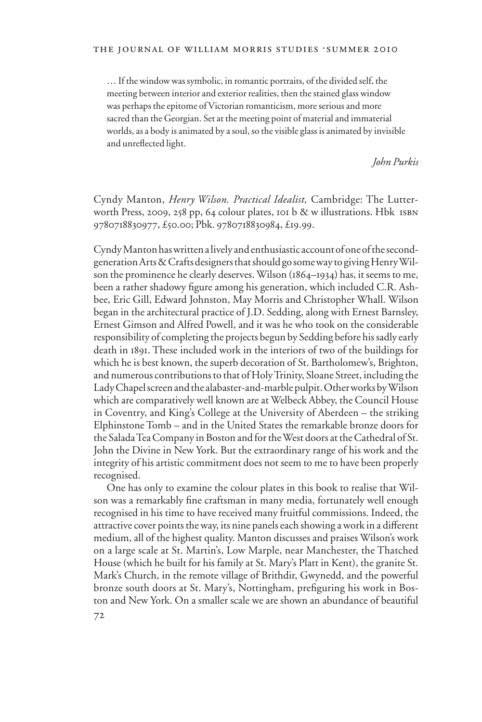… If the window was symbolic, in romantic portraits, of the divided self, the meeting between interior and exterior realities, then the stained glass window was perhaps the epitome of Victorian romanticism, more serious and more sacred than the Georgian. Set at the meeting point of material and immaterial worlds, as a body is animated by a soul, so the visible glass is animated by invisible and unreflected light.

*John Purkis*

Cyndy Manton, *Henry Wilson. Practical Idealist,* Cambridge: The Lutterworth Press, 2009, 258 pp, 64 colour plates, 101 b  $\&$  w illustrations. Hbk ISBN 9780718830977, £50.00; Pbk. 9780718830984, £19.99.

Cyndy Manton has written a lively and enthusiastic account of one of the secondgeneration Arts & Crafts designers that should go some way to giving Henry Wilson the prominence he clearly deserves. Wilson (1864–1934) has, it seems to me, been a rather shadowy figure among his generation, which included C.R. Ashbee, Eric Gill, Edward Johnston, May Morris and Christopher Whall. Wilson began in the architectural practice of J.D. Sedding, along with Ernest Barnsley, Ernest Gimson and Alfred Powell, and it was he who took on the considerable responsibility of completing the projects begun by Sedding before his sadly early death in 1891. These included work in the interiors of two of the buildings for which he is best known, the superb decoration of St. Bartholomew's, Brighton, and numerous contributions to that of Holy Trinity, Sloane Street, including the Lady Chapel screen and the alabaster-and-marble pulpit. Other works by Wilson which are comparatively well known are at Welbeck Abbey, the Council House in Coventry, and King's College at the University of Aberdeen – the striking Elphinstone Tomb – and in the United States the remarkable bronze doors for the Salada Tea Company in Boston and for the West doors at the Cathedral of St. John the Divine in New York. But the extraordinary range of his work and the integrity of his artistic commitment does not seem to me to have been properly recognised.

One has only to examine the colour plates in this book to realise that Wilson was a remarkably fine craftsman in many media, fortunately well enough recognised in his time to have received many fruitful commissions. Indeed, the attractive cover points the way, its nine panels each showing a work in a different medium, all of the highest quality. Manton discusses and praises Wilson's work on a large scale at St. Martin's, Low Marple, near Manchester, the Thatched House (which he built for his family at St. Mary's Platt in Kent), the granite St. Mark's Church, in the remote village of Brithdir, Gwynedd, and the powerful bronze south doors at St. Mary's, Nottingham, prefiguring his work in Boston and New York. On a smaller scale we are shown an abundance of beautiful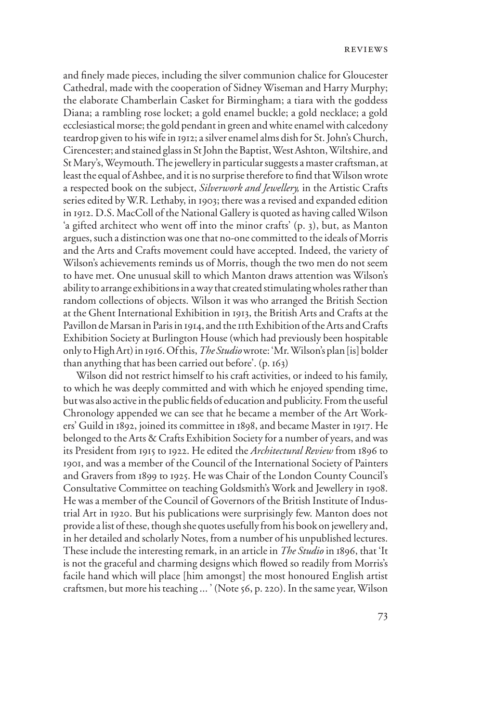and finely made pieces, including the silver communion chalice for Gloucester Cathedral, made with the cooperation of Sidney Wiseman and Harry Murphy; the elaborate Chamberlain Casket for Birmingham; a tiara with the goddess Diana; a rambling rose locket; a gold enamel buckle; a gold necklace; a gold ecclesiastical morse; the gold pendant in green and white enamel with calcedony teardrop given to his wife in 1912; a silver enamel alms dish for St. John's Church, Cirencester; and stained glass in St John the Baptist, West Ashton, Wiltshire, and St Mary's, Weymouth. The jewellery in particular suggests a master craftsman, at least the equal of Ashbee, and it is no surprise therefore to find that Wilson wrote a respected book on the subject, *Silverwork and Jewellery,* in the Artistic Crafts series edited by W.R. Lethaby, in 1903; there was a revised and expanded edition in 1912. D.S. MacColl of the National Gallery is quoted as having called Wilson 'a gifted architect who went off into the minor crafts'  $(p. 3)$ , but, as Manton argues, such a distinction was one that no-one committed to the ideals of Morris and the Arts and Crafts movement could have accepted. Indeed, the variety of Wilson's achievements reminds us of Morris, though the two men do not seem to have met. One unusual skill to which Manton draws attention was Wilson's ability to arrange exhibitions in a way that created stimulating wholes rather than random collections of objects. Wilson it was who arranged the British Section at the Ghent International Exhibition in 1913, the British Arts and Crafts at the Pavillon de Marsan in Paris in 1914, and the 11th Exhibition of the Arts and Crafts Exhibition Society at Burlington House (which had previously been hospitable only to High Art) in 1916. Of this, *The Studio* wrote: 'Mr. Wilson's plan [is] bolder than anything that has been carried out before'. (p. 163)

Wilson did not restrict himself to his craft activities, or indeed to his family, to which he was deeply committed and with which he enjoyed spending time, but was also active in the public fields of education and publicity. From the useful Chronology appended we can see that he became a member of the Art Workers' Guild in 1892, joined its committee in 1898, and became Master in 1917. He belonged to the Arts & Crafts Exhibition Society for a number of years, and was its President from 1915 to 1922. He edited the *Architectural Review* from 1896 to 1901, and was a member of the Council of the International Society of Painters and Gravers from 1899 to 1925. He was Chair of the London County Council's Consultative Committee on teaching Goldsmith's Work and Jewellery in 1908. He was a member of the Council of Governors of the British Institute of Industrial Art in 1920. But his publications were surprisingly few. Manton does not provide a list of these, though she quotes usefully from his book on jewellery and, in her detailed and scholarly Notes, from a number of his unpublished lectures. These include the interesting remark, in an article in *The Studio* in 1896, that 'It is not the graceful and charming designs which flowed so readily from Morris's facile hand which will place [him amongst] the most honoured English artist craftsmen, but more his teaching ... ' (Note 56, p. 220). In the same year, Wilson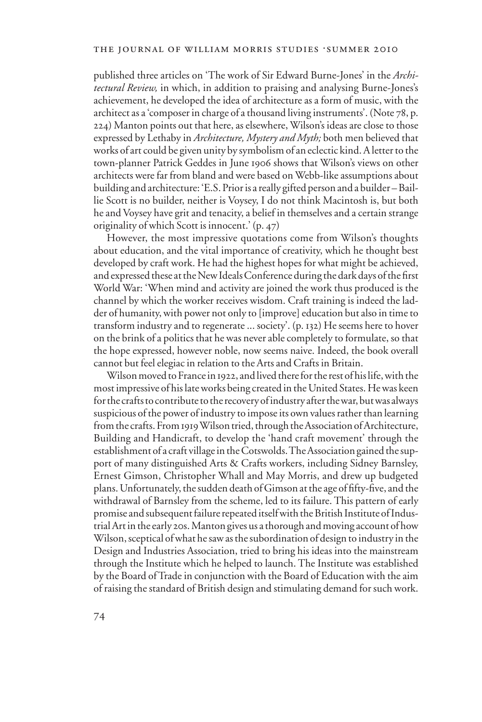published three articles on 'The work of Sir Edward Burne-Jones' in the *Architectural Review,* in which, in addition to praising and analysing Burne-Jones's achievement, he developed the idea of architecture as a form of music, with the architect as a 'composer in charge of a thousand living instruments'. (Note 78, p. 224) Manton points out that here, as elsewhere, Wilson's ideas are close to those expressed by Lethaby in *Architecture, Mystery and Myth;* both men believed that works of art could be given unity by symbolism of an eclectic kind. A letter to the town-planner Patrick Geddes in June 1906 shows that Wilson's views on other architects were far from bland and were based on Webb-like assumptions about building and architecture: 'E.S. Prior is a really gifted person and a builder – Baillie Scott is no builder, neither is Voysey, I do not think Macintosh is, but both he and Voysey have grit and tenacity, a belief in themselves and a certain strange originality of which Scott is innocent.' (p. 47)

However, the most impressive quotations come from Wilson's thoughts about education, and the vital importance of creativity, which he thought best developed by craft work. He had the highest hopes for what might be achieved, and expressed these at the New Ideals Conference during the dark days of the first World War: 'When mind and activity are joined the work thus produced is the channel by which the worker receives wisdom. Craft training is indeed the ladder of humanity, with power not only to [improve] education but also in time to transform industry and to regenerate ... society'. (p. 132) He seems here to hover on the brink of a politics that he was never able completely to formulate, so that the hope expressed, however noble, now seems naive. Indeed, the book overall cannot but feel elegiac in relation to the Arts and Crafts in Britain.

Wilson moved to France in 1922, and lived there for the rest of his life, with the most impressive of his late works being created in the United States. He was keen for the crafts to contribute to the recovery of industry after the war, but was always suspicious of the power of industry to impose its own values rather than learning from the crafts. From 1919 Wilson tried, through the Association of Architecture, Building and Handicraft, to develop the 'hand craft movement' through the establishment of a craft village in the Cotswolds. The Association gained the support of many distinguished Arts & Crafts workers, including Sidney Barnsley, Ernest Gimson, Christopher Whall and May Morris, and drew up budgeted plans. Unfortunately, the sudden death of Gimson at the age of fifty-five, and the withdrawal of Barnsley from the scheme, led to its failure. This pattern of early promise and subsequent failure repeated itself with the British Institute of Industrial Art in the early 20s. Manton gives us a thorough and moving account of how Wilson, sceptical of what he saw as the subordination of design to industry in the Design and Industries Association, tried to bring his ideas into the mainstream through the Institute which he helped to launch. The Institute was established by the Board of Trade in conjunction with the Board of Education with the aim of raising the standard of British design and stimulating demand for such work.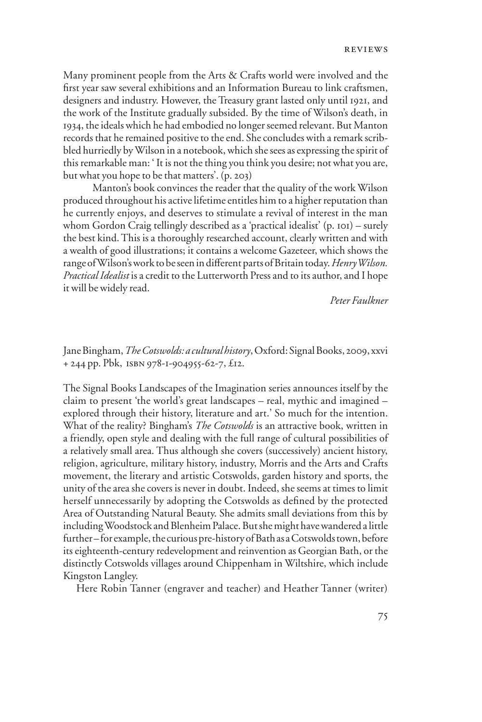Many prominent people from the Arts & Crafts world were involved and the first year saw several exhibitions and an Information Bureau to link craftsmen, designers and industry. However, the Treasury grant lasted only until 1921, and the work of the Institute gradually subsided. By the time of Wilson's death, in 1934, the ideals which he had embodied no longer seemed relevant. But Manton records that he remained positive to the end. She concludes with a remark scribbled hurriedly by Wilson in a notebook, which she sees as expressing the spirit of this remarkable man: ' It is not the thing you think you desire; not what you are, but what you hope to be that matters'. (p. 203)

Manton's book convinces the reader that the quality of the work Wilson produced throughout his active lifetime entitles him to a higher reputation than he currently enjoys, and deserves to stimulate a revival of interest in the man whom Gordon Craig tellingly described as a 'practical idealist' (p. 101) – surely the best kind. This is a thoroughly researched account, clearly written and with a wealth of good illustrations; it contains a welcome Gazeteer, which shows the range of Wilson's work to be seen in different parts of Britain today. *Henry Wilson*. *Practical Idealist* is a credit to the Lutterworth Press and to its author, and I hope it will be widely read.

*Peter Faulkner* 

Jane Bingham, *The Cotswolds: a cultural history*, Oxford: Signal Books, 2009, xxvi + 244 pp. Pbk, isbn 978-1-904955-62-7, £12.

The Signal Books Landscapes of the Imagination series announces itself by the claim to present 'the world's great landscapes – real, mythic and imagined – explored through their history, literature and art.' So much for the intention. What of the reality? Bingham's *The Cotswolds* is an attractive book, written in a friendly, open style and dealing with the full range of cultural possibilities of a relatively small area. Thus although she covers (successively) ancient history, religion, agriculture, military history, industry, Morris and the Arts and Crafts movement, the literary and artistic Cotswolds, garden history and sports, the unity of the area she covers is never in doubt. Indeed, she seems at times to limit herself unnecessarily by adopting the Cotswolds as defined by the protected Area of Outstanding Natural Beauty. She admits small deviations from this by including Woodstock and Blenheim Palace. But she might have wandered a little further – for example, the curious pre-history of Bath as a Cotswolds town, before its eighteenth-century redevelopment and reinvention as Georgian Bath, or the distinctly Cotswolds villages around Chippenham in Wiltshire, which include Kingston Langley.

Here Robin Tanner (engraver and teacher) and Heather Tanner (writer)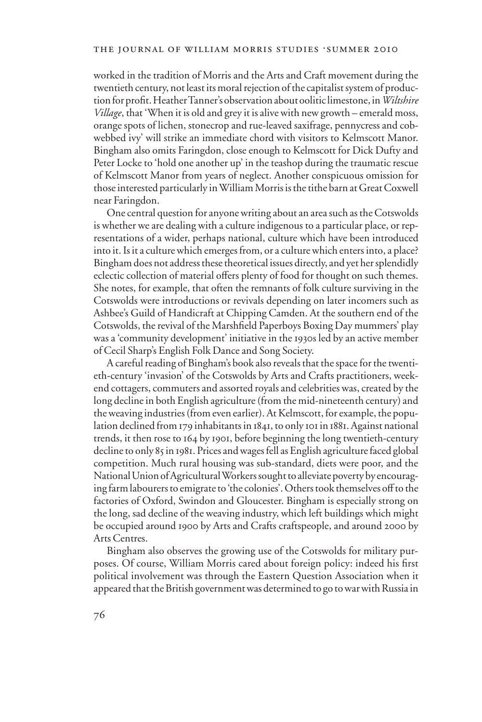worked in the tradition of Morris and the Arts and Craft movement during the twentieth century, not least its moral rejection of the capitalist system of production for profit. Heather Tanner's observation about oolitic limestone, in *Wiltshire Village*, that 'When it is old and grey it is alive with new growth – emerald moss, orange spots of lichen, stonecrop and rue-leaved saxifrage, pennycress and cobwebbed ivy' will strike an immediate chord with visitors to Kelmscott Manor. Bingham also omits Faringdon, close enough to Kelmscott for Dick Dufty and Peter Locke to 'hold one another up' in the teashop during the traumatic rescue of Kelmscott Manor from years of neglect. Another conspicuous omission for those interested particularly in William Morris is the tithe barn at Great Coxwell near Faringdon.

One central question for anyone writing about an area such as the Cotswolds is whether we are dealing with a culture indigenous to a particular place, or representations of a wider, perhaps national, culture which have been introduced into it. Is it a culture which emerges from, or a culture which enters into, a place? Bingham does not address these theoretical issues directly, and yet her splendidly eclectic collection of material offers plenty of food for thought on such themes. She notes, for example, that often the remnants of folk culture surviving in the Cotswolds were introductions or revivals depending on later incomers such as Ashbee's Guild of Handicraft at Chipping Camden. At the southern end of the Cotswolds, the revival of the Marshfield Paperboys Boxing Day mummers' play was a 'community development' initiative in the 1930s led by an active member of Cecil Sharp's English Folk Dance and Song Society.

A careful reading of Bingham's book also reveals that the space for the twentieth-century 'invasion' of the Cotswolds by Arts and Crafts practitioners, weekend cottagers, commuters and assorted royals and celebrities was, created by the long decline in both English agriculture (from the mid-nineteenth century) and the weaving industries (from even earlier). At Kelmscott, for example, the population declined from 179 inhabitants in 1841, to only 101 in 1881. Against national trends, it then rose to 164 by 1901, before beginning the long twentieth-century decline to only 85 in 1981. Prices and wages fell as English agriculture faced global competition. Much rural housing was sub-standard, diets were poor, and the National Union of Agricultural Workers sought to alleviate poverty by encouraging farm labourers to emigrate to 'the colonies'. Others took themselves off to the factories of Oxford, Swindon and Gloucester. Bingham is especially strong on the long, sad decline of the weaving industry, which left buildings which might be occupied around 1900 by Arts and Crafts craftspeople, and around 2000 by Arts Centres.

Bingham also observes the growing use of the Cotswolds for military purposes. Of course, William Morris cared about foreign policy: indeed his first political involvement was through the Eastern Question Association when it appeared that the British government was determined to go to war with Russia in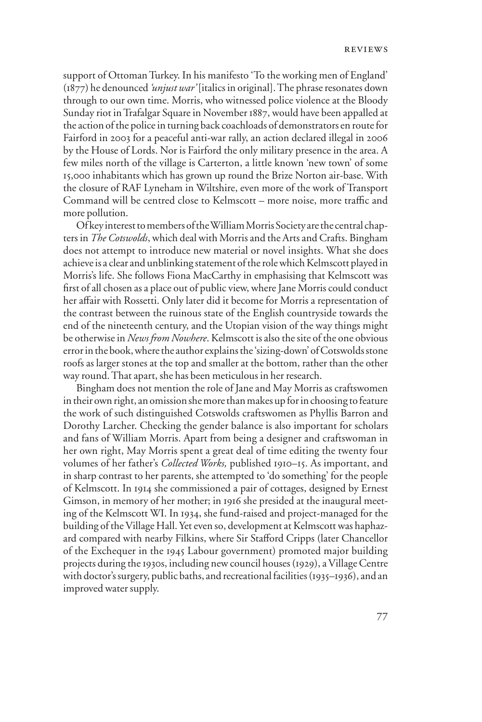support of Ottoman Turkey. In his manifesto 'To the working men of England' (1877) he denounced *'unjust war'* [italics in original]. The phrase resonates down through to our own time. Morris, who witnessed police violence at the Bloody Sunday riot in Trafalgar Square in November 1887, would have been appalled at the action of the police in turning back coachloads of demonstrators en route for Fairford in 2003 for a peaceful anti-war rally, an action declared illegal in 2006 by the House of Lords. Nor is Fairford the only military presence in the area. A few miles north of the village is Carterton, a little known 'new town' of some 15,000 inhabitants which has grown up round the Brize Norton air-base. With the closure of RAF Lyneham in Wiltshire, even more of the work of Transport Command will be centred close to Kelmscott – more noise, more traffic and more pollution.

Of key interest to members of the William Morris Society are the central chapters in *The Cotswolds*, which deal with Morris and the Arts and Crafts. Bingham does not attempt to introduce new material or novel insights. What she does achieve is a clear and unblinking statement of the role which Kelmscott played in Morris's life. She follows Fiona MacCarthy in emphasising that Kelmscott was first of all chosen as a place out of public view, where Jane Morris could conduct her affair with Rossetti. Only later did it become for Morris a representation of the contrast between the ruinous state of the English countryside towards the end of the nineteenth century, and the Utopian vision of the way things might be otherwise in *News from Nowhere*. Kelmscott is also the site of the one obvious error in the book, where the author explains the 'sizing-down' of Cotswolds stone roofs as larger stones at the top and smaller at the bottom, rather than the other way round. That apart, she has been meticulous in her research.

Bingham does not mention the role of Jane and May Morris as craftswomen in their own right, an omission she more than makes up for in choosing to feature the work of such distinguished Cotswolds craftswomen as Phyllis Barron and Dorothy Larcher. Checking the gender balance is also important for scholars and fans of William Morris. Apart from being a designer and craftswoman in her own right, May Morris spent a great deal of time editing the twenty four volumes of her father's *Collected Works,* published 1910–15. As important, and in sharp contrast to her parents, she attempted to 'do something' for the people of Kelmscott. In 1914 she commissioned a pair of cottages, designed by Ernest Gimson, in memory of her mother; in 1916 she presided at the inaugural meeting of the Kelmscott WI. In 1934, she fund-raised and project-managed for the building of the Village Hall. Yet even so, development at Kelmscott was haphazard compared with nearby Filkins, where Sir Stafford Cripps (later Chancellor of the Exchequer in the 1945 Labour government) promoted major building projects during the 1930s, including new council houses (1929), a Village Centre with doctor's surgery, public baths, and recreational facilities (1935–1936), and an improved water supply.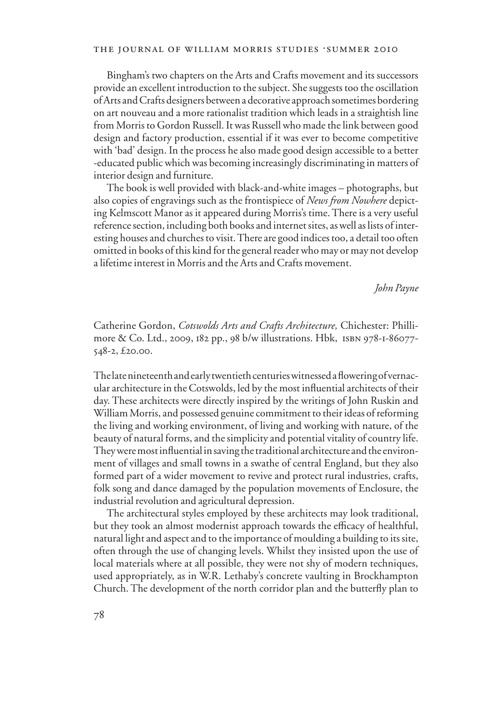#### THE JOURNAL OF WILLIAM MORRIS STUDIES . SUMMER 2010

Bingham's two chapters on the Arts and Crafts movement and its successors provide an excellent introduction to the subject. She suggests too the oscillation of Arts and Crafts designers between a decorative approach sometimes bordering on art nouveau and a more rationalist tradition which leads in a straightish line from Morris to Gordon Russell. It was Russell who made the link between good design and factory production, essential if it was ever to become competitive with 'bad' design. In the process he also made good design accessible to a better -educated public which was becoming increasingly discriminating in matters of interior design and furniture.

The book is well provided with black-and-white images – photographs, but also copies of engravings such as the frontispiece of *News from Nowhere* depicting Kelmscott Manor as it appeared during Morris's time. There is a very useful reference section, including both books and internet sites, as well as lists of interesting houses and churches to visit. There are good indices too, a detail too often omitted in books of this kind for the general reader who may or may not develop a lifetime interest in Morris and the Arts and Crafts movement.

*John Payne*

Catherine Gordon, *Cotswolds Arts and Crafts Architecture,* Chichester: Phillimore & Co. Ltd., 2009, 182 pp., 98 b/w illustrations. Hbk, isbn 978-1-86077- 548-2, £20.00.

The late nineteenth and early twentieth centuries witnessed a flowering of vernacular architecture in the Cotswolds, led by the most influential architects of their day. These architects were directly inspired by the writings of John Ruskin and William Morris, and possessed genuine commitment to their ideas of reforming the living and working environment, of living and working with nature, of the beauty of natural forms, and the simplicity and potential vitality of country life. They were most influential in saving the traditional architecture and the environment of villages and small towns in a swathe of central England, but they also formed part of a wider movement to revive and protect rural industries, crafts, folk song and dance damaged by the population movements of Enclosure, the industrial revolution and agricultural depression.

The architectural styles employed by these architects may look traditional, but they took an almost modernist approach towards the efficacy of healthful, natural light and aspect and to the importance of moulding a building to its site, often through the use of changing levels. Whilst they insisted upon the use of local materials where at all possible, they were not shy of modern techniques, used appropriately, as in W.R. Lethaby's concrete vaulting in Brockhampton Church. The development of the north corridor plan and the butterfly plan to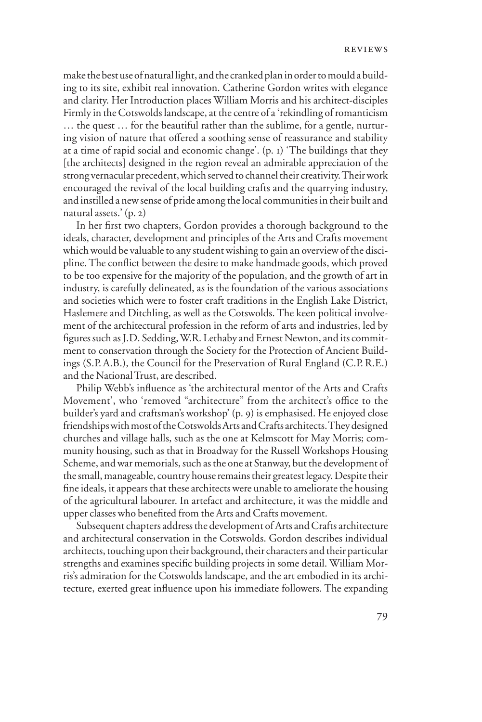make the best use of natural light, and the cranked plan in order to mould a building to its site, exhibit real innovation. Catherine Gordon writes with elegance and clarity. Her Introduction places William Morris and his architect-disciples Firmly in the Cotswolds landscape, at the centre of a 'rekindling of romanticism … the quest … for the beautiful rather than the sublime, for a gentle, nurturing vision of nature that offered a soothing sense of reassurance and stability at a time of rapid social and economic change'. (p. 1) 'The buildings that they [the architects] designed in the region reveal an admirable appreciation of the strong vernacular precedent, which served to channel their creativity. Their work encouraged the revival of the local building crafts and the quarrying industry, and instilled a new sense of pride among the local communities in their built and natural assets.' (p. 2)

In her first two chapters, Gordon provides a thorough background to the ideals, character, development and principles of the Arts and Crafts movement which would be valuable to any student wishing to gain an overview of the discipline. The conflict between the desire to make handmade goods, which proved to be too expensive for the majority of the population, and the growth of art in industry, is carefully delineated, as is the foundation of the various associations and societies which were to foster craft traditions in the English Lake District, Haslemere and Ditchling, as well as the Cotswolds. The keen political involvement of the architectural profession in the reform of arts and industries, led by figures such as J.D. Sedding, W.R. Lethaby and Ernest Newton, and its commitment to conservation through the Society for the Protection of Ancient Buildings (S.P.A.B.), the Council for the Preservation of Rural England (C.P.R.E.) and the National Trust, are described.

Philip Webb's influence as 'the architectural mentor of the Arts and Crafts Movement', who 'removed "architecture" from the architect's office to the builder's yard and craftsman's workshop' (p. 9) is emphasised. He enjoyed close friendships with most of the Cotswolds Arts and Crafts architects. They designed churches and village halls, such as the one at Kelmscott for May Morris; community housing, such as that in Broadway for the Russell Workshops Housing Scheme, and war memorials, such as the one at Stanway, but the development of the small, manageable, country house remains their greatest legacy. Despite their fine ideals, it appears that these architects were unable to ameliorate the housing of the agricultural labourer. In artefact and architecture, it was the middle and upper classes who benefited from the Arts and Crafts movement.

Subsequent chapters address the development of Arts and Crafts architecture and architectural conservation in the Cotswolds. Gordon describes individual architects, touching upon their background, their characters and their particular strengths and examines specific building projects in some detail. William Morris's admiration for the Cotswolds landscape, and the art embodied in its architecture, exerted great influence upon his immediate followers. The expanding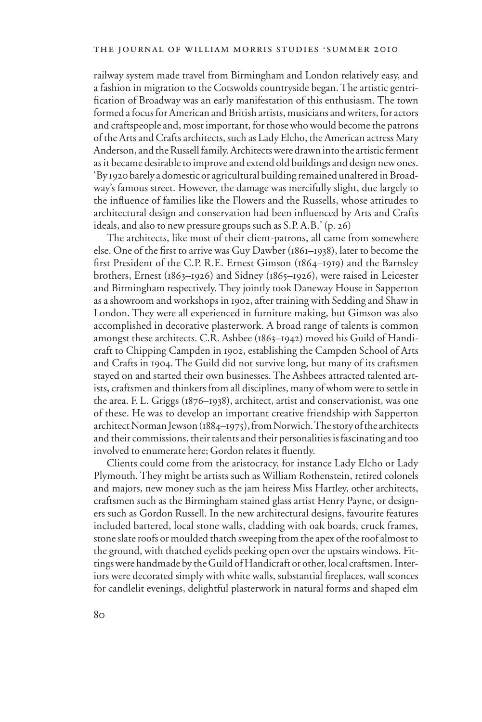railway system made travel from Birmingham and London relatively easy, and a fashion in migration to the Cotswolds countryside began. The artistic gentrification of Broadway was an early manifestation of this enthusiasm. The town formed a focus for American and British artists, musicians and writers, for actors and craftspeople and, most important, for those who would become the patrons of the Arts and Crafts architects, such as Lady Elcho, the American actress Mary Anderson, and the Russell family. Architects were drawn into the artistic ferment as it became desirable to improve and extend old buildings and design new ones. 'By 1920 barely a domestic or agricultural building remained unaltered in Broadway's famous street. However, the damage was mercifully slight, due largely to the influence of families like the Flowers and the Russells, whose attitudes to architectural design and conservation had been influenced by Arts and Crafts ideals, and also to new pressure groups such as S.P.A.B.' (p. 26)

The architects, like most of their client-patrons, all came from somewhere else. One of the first to arrive was Guy Dawber (1861–1938), later to become the first President of the C.P. R.E. Ernest Gimson (1864–1919) and the Barnsley brothers, Ernest (1863–1926) and Sidney (1865–1926), were raised in Leicester and Birmingham respectively. They jointly took Daneway House in Sapperton as a showroom and workshops in 1902, after training with Sedding and Shaw in London. They were all experienced in furniture making, but Gimson was also accomplished in decorative plasterwork. A broad range of talents is common amongst these architects. C.R. Ashbee (1863–1942) moved his Guild of Handicraft to Chipping Campden in 1902, establishing the Campden School of Arts and Crafts in 1904. The Guild did not survive long, but many of its craftsmen stayed on and started their own businesses. The Ashbees attracted talented artists, craftsmen and thinkers from all disciplines, many of whom were to settle in the area. F. L. Griggs (1876–1938), architect, artist and conservationist, was one of these. He was to develop an important creative friendship with Sapperton architect Norman Jewson (1884–1975), from Norwich. The story of the architects and their commissions, their talents and their personalities is fascinating and too involved to enumerate here; Gordon relates it fluently.

Clients could come from the aristocracy, for instance Lady Elcho or Lady Plymouth. They might be artists such as William Rothenstein, retired colonels and majors, new money such as the jam heiress Miss Hartley, other architects, craftsmen such as the Birmingham stained glass artist Henry Payne, or designers such as Gordon Russell. In the new architectural designs, favourite features included battered, local stone walls, cladding with oak boards, cruck frames, stone slate roofs or moulded thatch sweeping from the apex of the roof almost to the ground, with thatched eyelids peeking open over the upstairs windows. Fittings were handmade by the Guild of Handicraft or other, local craftsmen. Interiors were decorated simply with white walls, substantial fireplaces, wall sconces for candlelit evenings, delightful plasterwork in natural forms and shaped elm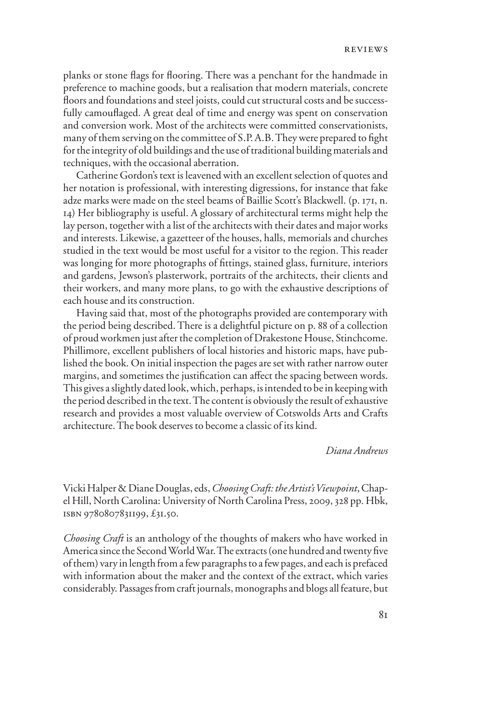planks or stone flags for flooring. There was a penchant for the handmade in preference to machine goods, but a realisation that modern materials, concrete floors and foundations and steel joists, could cut structural costs and be successfully camouflaged. A great deal of time and energy was spent on conservation and conversion work. Most of the architects were committed conservationists, many of them serving on the committee of S.P. A.B. They were prepared to fight for the integrity of old buildings and the use of traditional building materials and techniques, with the occasional aberration.

Catherine Gordon's text is leavened with an excellent selection of quotes and her notation is professional, with interesting digressions, for instance that fake adze marks were made on the steel beams of Baillie Scott's Blackwell. (p. 171, n. 14) Her bibliography is useful. A glossary of architectural terms might help the lay person, together with a list of the architects with their dates and major works and interests. Likewise, a gazetteer of the houses, halls, memorials and churches studied in the text would be most useful for a visitor to the region. This reader was longing for more photographs of fittings, stained glass, furniture, interiors and gardens, Jewson's plasterwork, portraits of the architects, their clients and their workers, and many more plans, to go with the exhaustive descriptions of each house and its construction.

Having said that, most of the photographs provided are contemporary with the period being described. There is a delightful picture on p. 88 of a collection of proud workmen just after the completion of Drakestone House, Stinchcome. Phillimore, excellent publishers of local histories and historic maps, have published the book. On initial inspection the pages are set with rather narrow outer margins, and sometimes the justification can affect the spacing between words. This gives a slightly dated look, which, perhaps, is intended to be in keeping with the period described in the text. The content is obviously the result of exhaustive research and provides a most valuable overview of Cotswolds Arts and Crafts architecture. The book deserves to become a classic of its kind.

#### *Diana Andrews*

Vicki Halper & Diane Douglas, eds, *Choosing Craft: the Artist's Viewpoint*, Chapel Hill, North Carolina: University of North Carolina Press, 2009, 328 pp. Hbk, isbn 9780807831199, £31.50.

*Choosing Craft* is an anthology of the thoughts of makers who have worked in America since the Second World War. The extracts (one hundred and twenty five of them) vary in length from a few paragraphs to a few pages, and each is prefaced with information about the maker and the context of the extract, which varies considerably. Passages from craft journals, monographs and blogs all feature, but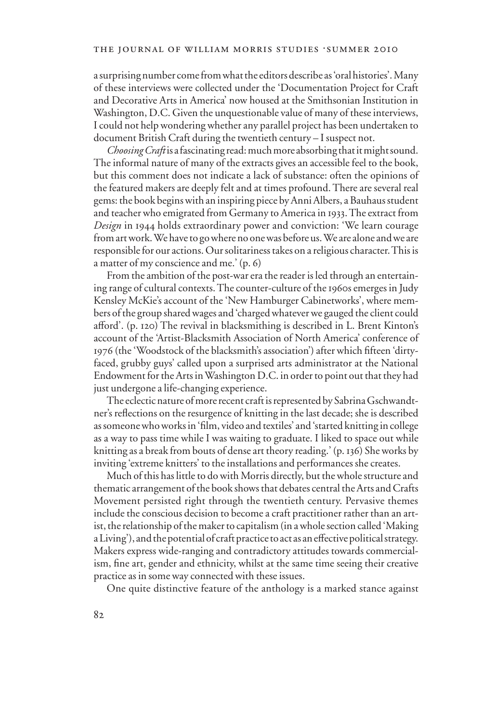a surprising number come from what the editors describe as 'oral histories'. Many of these interviews were collected under the 'Documentation Project for Craft and Decorative Arts in America' now housed at the Smithsonian Institution in Washington, D.C. Given the unquestionable value of many of these interviews, I could not help wondering whether any parallel project has been undertaken to document British Craft during the twentieth century – I suspect not.

*Choosing Craft* is a fascinating read: much more absorbing that it might sound. The informal nature of many of the extracts gives an accessible feel to the book, but this comment does not indicate a lack of substance: often the opinions of the featured makers are deeply felt and at times profound. There are several real gems: the book begins with an inspiring piece by Anni Albers, a Bauhaus student and teacher who emigrated from Germany to America in 1933. The extract from *Design* in 1944 holds extraordinary power and conviction: 'We learn courage from art work. We have to go where no one was before us. We are alone and we are responsible for our actions. Our solitariness takes on a religious character. This is a matter of my conscience and me.' (p. 6)

From the ambition of the post-war era the reader is led through an entertaining range of cultural contexts. The counter-culture of the 1960s emerges in Judy Kensley McKie's account of the 'New Hamburger Cabinetworks', where members of the group shared wages and 'charged whatever we gauged the client could afford'. (p. 120) The revival in blacksmithing is described in L. Brent Kinton's account of the 'Artist-Blacksmith Association of North America' conference of 1976 (the 'Woodstock of the blacksmith's association') after which fifteen 'dirtyfaced, grubby guys' called upon a surprised arts administrator at the National Endowment for the Arts in Washington D.C. in order to point out that they had just undergone a life-changing experience.

The eclectic nature of more recent craft is represented by Sabrina Gschwandtner's reflections on the resurgence of knitting in the last decade; she is described as someone who works in 'film, video and textiles' and 'started knitting in college as a way to pass time while I was waiting to graduate. I liked to space out while knitting as a break from bouts of dense art theory reading.' (p. 136) She works by inviting 'extreme knitters' to the installations and performances she creates.

Much of this has little to do with Morris directly, but the whole structure and thematic arrangement of the book shows that debates central the Arts and Crafts Movement persisted right through the twentieth century. Pervasive themes include the conscious decision to become a craft practitioner rather than an artist, the relationship of the maker to capitalism (in a whole section called 'Making a Living'), and the potential of craft practice to act as an effective political strategy. Makers express wide-ranging and contradictory attitudes towards commercialism, fine art, gender and ethnicity, whilst at the same time seeing their creative practice as in some way connected with these issues.

One quite distinctive feature of the anthology is a marked stance against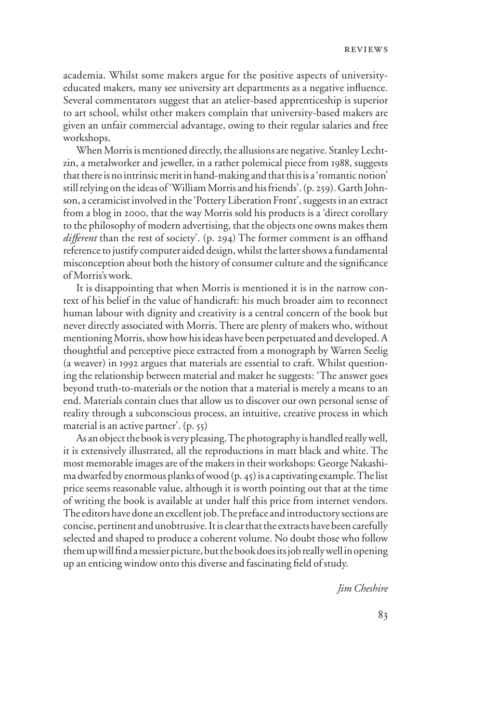academia. Whilst some makers argue for the positive aspects of universityeducated makers, many see university art departments as a negative influence. Several commentators suggest that an atelier-based apprenticeship is superior to art school, whilst other makers complain that university-based makers are given an unfair commercial advantage, owing to their regular salaries and free workshops.

When Morris is mentioned directly, the allusions are negative. Stanley Lechtzin, a metalworker and jeweller, in a rather polemical piece from 1988, suggests that there is no intrinsic merit in hand-making and that this is a 'romantic notion' still relying on the ideas of 'William Morris and his friends'. (p. 259). Garth Johnson, a ceramicist involved in the 'Pottery Liberation Front', suggests in an extract from a blog in 2000, that the way Morris sold his products is a 'direct corollary to the philosophy of modern advertising, that the objects one owns makes them *different* than the rest of society'. (p. 294) The former comment is an offhand reference to justify computer aided design, whilst the latter shows a fundamental misconception about both the history of consumer culture and the significance of Morris's work.

It is disappointing that when Morris is mentioned it is in the narrow context of his belief in the value of handicraft: his much broader aim to reconnect human labour with dignity and creativity is a central concern of the book but never directly associated with Morris. There are plenty of makers who, without mentioning Morris, show how his ideas have been perpetuated and developed. A thoughtful and perceptive piece extracted from a monograph by Warren Seelig (a weaver) in 1992 argues that materials are essential to craft. Whilst questioning the relationship between material and maker he suggests: 'The answer goes beyond truth-to-materials or the notion that a material is merely a means to an end. Materials contain clues that allow us to discover our own personal sense of reality through a subconscious process, an intuitive, creative process in which material is an active partner'. (p. 55)

As an object the book is very pleasing. The photography is handled really well, it is extensively illustrated, all the reproductions in matt black and white. The most memorable images are of the makers in their workshops: George Nakashima dwarfed by enormous planks of wood (p. 45) is a captivating example. The list price seems reasonable value, although it is worth pointing out that at the time of writing the book is available at under half this price from internet vendors. The editors have done an excellent job. The preface and introductory sections are concise, pertinent and unobtrusive. It is clear that the extracts have been carefully selected and shaped to produce a coherent volume. No doubt those who follow them up will find a messier picture, but the book does its job really well in opening up an enticing window onto this diverse and fascinating field of study.

*Jim Cheshire*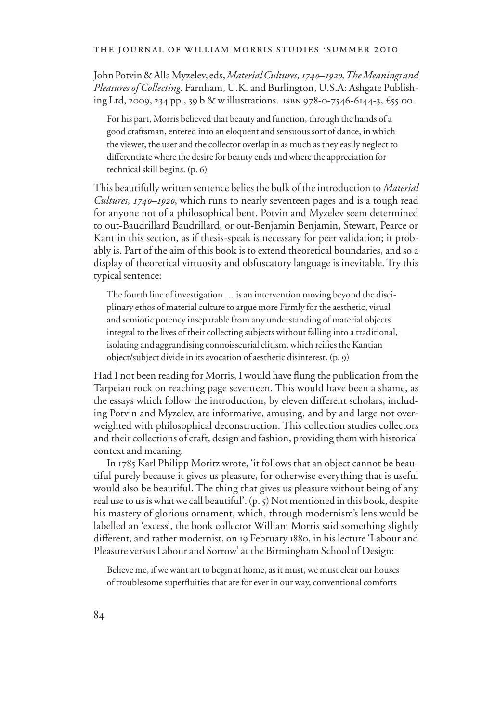#### THE JOURNAL OF WILLIAM MORRIS STUDIES .SUMMER 2010

John Potvin & Alla Myzelev, eds, *Material Cultures, 1740–1920, The Meanings and Pleasures of Collecting.* Farnham, U.K. and Burlington, U.S.A: Ashgate Publishing Ltd, 2009, 234 pp., 39 b & w illustrations. isbn 978-0-7546-6144-3, £55.00.

For his part, Morris believed that beauty and function, through the hands of a good craftsman, entered into an eloquent and sensuous sort of dance, in which the viewer, the user and the collector overlap in as much as they easily neglect to differentiate where the desire for beauty ends and where the appreciation for technical skill begins. (p. 6)

This beautifully written sentence belies the bulk of the introduction to *Material Cultures, 1740–1920*, which runs to nearly seventeen pages and is a tough read for anyone not of a philosophical bent. Potvin and Myzelev seem determined to out-Baudrillard Baudrillard, or out-Benjamin Benjamin, Stewart, Pearce or Kant in this section, as if thesis-speak is necessary for peer validation; it probably is. Part of the aim of this book is to extend theoretical boundaries, and so a display of theoretical virtuosity and obfuscatory language is inevitable. Try this typical sentence:

The fourth line of investigation … is an intervention moving beyond the disciplinary ethos of material culture to argue more Firmly for the aesthetic, visual and semiotic potency inseparable from any understanding of material objects integral to the lives of their collecting subjects without falling into a traditional, isolating and aggrandising connoisseurial elitism, which reifies the Kantian object/subject divide in its avocation of aesthetic disinterest. (p. 9)

Had I not been reading for Morris, I would have flung the publication from the Tarpeian rock on reaching page seventeen. This would have been a shame, as the essays which follow the introduction, by eleven different scholars, including Potvin and Myzelev, are informative, amusing, and by and large not overweighted with philosophical deconstruction. This collection studies collectors and their collections of craft, design and fashion, providing them with historical context and meaning.

In 1785 Karl Philipp Moritz wrote, 'it follows that an object cannot be beautiful purely because it gives us pleasure, for otherwise everything that is useful would also be beautiful. The thing that gives us pleasure without being of any real use to us is what we call beautiful'. (p. 5) Not mentioned in this book, despite his mastery of glorious ornament, which, through modernism's lens would be labelled an 'excess', the book collector William Morris said something slightly different, and rather modernist, on 19 February 1880, in his lecture 'Labour and Pleasure versus Labour and Sorrow' at the Birmingham School of Design:

Believe me, if we want art to begin at home, as it must, we must clear our houses of troublesome superfluities that are for ever in our way, conventional comforts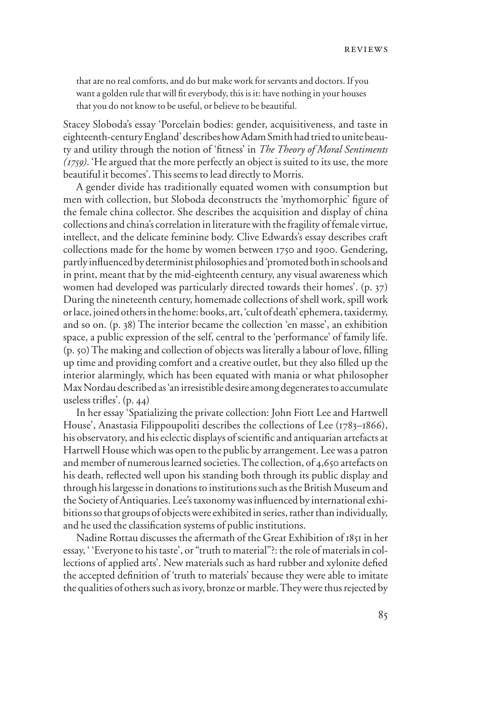that are no real comforts, and do but make work for servants and doctors. If you want a golden rule that will fit everybody, this is it: have nothing in your houses that you do not know to be useful, or believe to be beautiful.

Stacey Sloboda's essay 'Porcelain bodies: gender, acquisitiveness, and taste in eighteenth-century England' describes how Adam Smith had tried to unite beauty and utility through the notion of 'fitness' in *The Theory of Moral Sentiments (1759)*. 'He argued that the more perfectly an object is suited to its use, the more beautiful it becomes'. This seems to lead directly to Morris.

A gender divide has traditionally equated women with consumption but men with collection, but Sloboda deconstructs the 'mythomorphic' figure of the female china collector. She describes the acquisition and display of china collections and china's correlation in literature with the fragility of female virtue, intellect, and the delicate feminine body. Clive Edwards's essay describes craft collections made for the home by women between 1750 and 1900. Gendering, partly influenced by determinist philosophies and 'promoted both in schools and in print, meant that by the mid-eighteenth century, any visual awareness which women had developed was particularly directed towards their homes'. (p. 37) During the nineteenth century, homemade collections of shell work, spill work or lace, joined others in the home: books, art, 'cult of death' ephemera, taxidermy, and so on. (p. 38) The interior became the collection 'en masse', an exhibition space, a public expression of the self, central to the 'performance' of family life.  $(p, 50)$  The making and collection of objects was literally a labour of love, filling up time and providing comfort and a creative outlet, but they also filled up the interior alarmingly, which has been equated with mania or what philosopher Max Nordau described as 'an irresistible desire among degenerates to accumulate useless trifles'.  $(p. 44)$ 

In her essay 'Spatializing the private collection: John Fiott Lee and Hartwell House', Anastasia Filippoupoliti describes the collections of Lee (1783–1866), his observatory, and his eclectic displays of scientific and antiquarian artefacts at Hartwell House which was open to the public by arrangement. Lee was a patron and member of numerous learned societies. The collection, of 4,650 artefacts on his death, reflected well upon his standing both through its public display and through his largesse in donations to institutions such as the British Museum and the Society of Antiquaries. Lee's taxonomy was influenced by international exhibitions so that groups of objects were exhibited in series, rather than individually, and he used the classification systems of public institutions.

Nadine Rottau discusses the aftermath of the Great Exhibition of 1851 in her essay, ' 'Everyone to his taste', or "truth to material"?: the role of materials in collections of applied arts'. New materials such as hard rubber and xylonite defied the accepted definition of 'truth to materials' because they were able to imitate the qualities of others such as ivory, bronze or marble. They were thus rejected by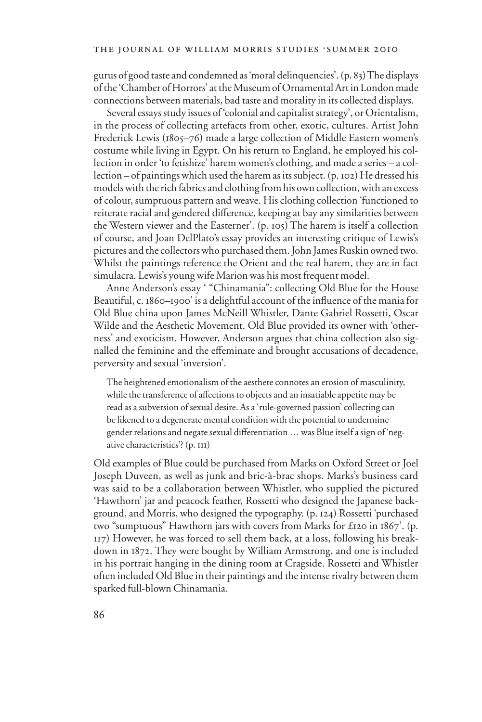gurus of good taste and condemned as 'moral delinquencies'. (p. 83) The displays of the 'Chamber of Horrors' at the Museum of Ornamental Art in London made connections between materials, bad taste and morality in its collected displays.

Several essays study issues of 'colonial and capitalist strategy', or Orientalism, in the process of collecting artefacts from other, exotic, cultures. Artist John Frederick Lewis (1805–76) made a large collection of Middle Eastern women's costume while living in Egypt. On his return to England, he employed his collection in order 'to fetishize' harem women's clothing, and made a series – a collection – of paintings which used the harem as its subject. (p. 102) He dressed his models with the rich fabrics and clothing from his own collection, with an excess of colour, sumptuous pattern and weave. His clothing collection 'functioned to reiterate racial and gendered difference, keeping at bay any similarities between the Western viewer and the Easterner'. (p. 105) The harem is itself a collection of course, and Joan DelPlato's essay provides an interesting critique of Lewis's pictures and the collectors who purchased them. John James Ruskin owned two. Whilst the paintings reference the Orient and the real harem, they are in fact simulacra. Lewis's young wife Marion was his most frequent model.

Anne Anderson's essay ' "Chinamania": collecting Old Blue for the House Beautiful, c. 1860–1900' is a delightful account of the influence of the mania for Old Blue china upon James McNeill Whistler, Dante Gabriel Rossetti, Oscar Wilde and the Aesthetic Movement. Old Blue provided its owner with 'otherness' and exoticism. However, Anderson argues that china collection also signalled the feminine and the effeminate and brought accusations of decadence, perversity and sexual 'inversion'.

The heightened emotionalism of the aesthete connotes an erosion of masculinity, while the transference of affections to objects and an insatiable appetite may be read as a subversion of sexual desire. As a 'rule-governed passion' collecting can be likened to a degenerate mental condition with the potential to undermine gender relations and negate sexual differentiation ... was Blue itself a sign of 'negative characteristics'? (p. 111)

Old examples of Blue could be purchased from Marks on Oxford Street or Joel Joseph Duveen, as well as junk and bric-à-brac shops. Marks's business card was said to be a collaboration between Whistler, who supplied the pictured 'Hawthorn' jar and peacock feather, Rossetti who designed the Japanese background, and Morris, who designed the typography. (p. 124) Rossetti 'purchased two "sumptuous" Hawthorn jars with covers from Marks for £120 in 1867'. (p. 117) However, he was forced to sell them back, at a loss, following his breakdown in 1872. They were bought by William Armstrong, and one is included in his portrait hanging in the dining room at Cragside. Rossetti and Whistler often included Old Blue in their paintings and the intense rivalry between them sparked full-blown Chinamania.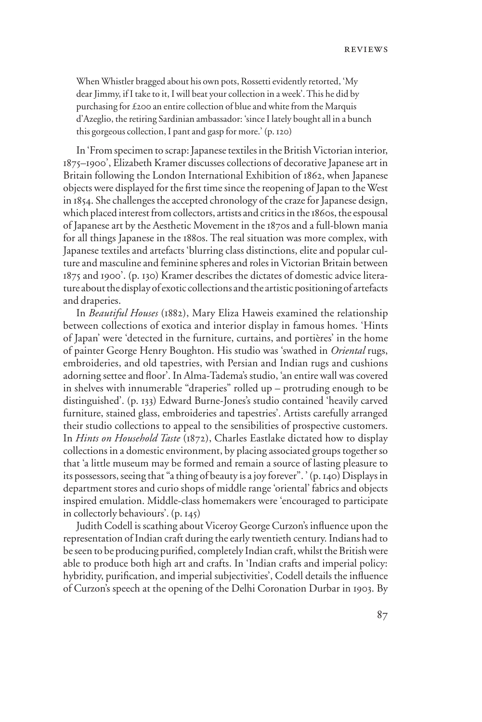When Whistler bragged about his own pots, Rossetti evidently retorted, 'My dear Jimmy, if I take to it, I will beat your collection in a week'. This he did by purchasing for £200 an entire collection of blue and white from the Marquis d'Azeglio, the retiring Sardinian ambassador: 'since I lately bought all in a bunch this gorgeous collection, I pant and gasp for more.' (p. 120)

In 'From specimen to scrap: Japanese textiles in the British Victorian interior, 1875–1900', Elizabeth Kramer discusses collections of decorative Japanese art in Britain following the London International Exhibition of 1862, when Japanese objects were displayed for the first time since the reopening of Japan to the West in 1854. She challenges the accepted chronology of the craze for Japanese design, which placed interest from collectors, artists and critics in the 1860s, the espousal of Japanese art by the Aesthetic Movement in the 1870s and a full-blown mania for all things Japanese in the 1880s. The real situation was more complex, with Japanese textiles and artefacts 'blurring class distinctions, elite and popular culture and masculine and feminine spheres and roles in Victorian Britain between 1875 and 1900'. (p. 130) Kramer describes the dictates of domestic advice literature about the display of exotic collections and the artistic positioning of artefacts and draperies.

In *Beautiful Houses* (1882), Mary Eliza Haweis examined the relationship between collections of exotica and interior display in famous homes. 'Hints of Japan' were 'detected in the furniture, curtains, and portières' in the home of painter George Henry Boughton. His studio was 'swathed in *Oriental* rugs, embroideries, and old tapestries, with Persian and Indian rugs and cushions adorning settee and floor'. In Alma-Tadema's studio, 'an entire wall was covered in shelves with innumerable "draperies" rolled up – protruding enough to be distinguished'. (p. 133) Edward Burne-Jones's studio contained 'heavily carved furniture, stained glass, embroideries and tapestries'. Artists carefully arranged their studio collections to appeal to the sensibilities of prospective customers. In *Hints on Household Taste* (1872), Charles Eastlake dictated how to display collections in a domestic environment, by placing associated groups together so that 'a little museum may be formed and remain a source of lasting pleasure to its possessors, seeing that "a thing of beauty is a joy forever". ' (p. 140) Displays in department stores and curio shops of middle range 'oriental' fabrics and objects inspired emulation. Middle-class homemakers were 'encouraged to participate in collectorly behaviours'. (p. 145)

Judith Codell is scathing about Viceroy George Curzon's influence upon the representation of Indian craft during the early twentieth century. Indians had to be seen to be producing purified, completely Indian craft, whilst the British were able to produce both high art and crafts. In 'Indian crafts and imperial policy: hybridity, purification, and imperial subjectivities', Codell details the influence of Curzon's speech at the opening of the Delhi Coronation Durbar in 1903. By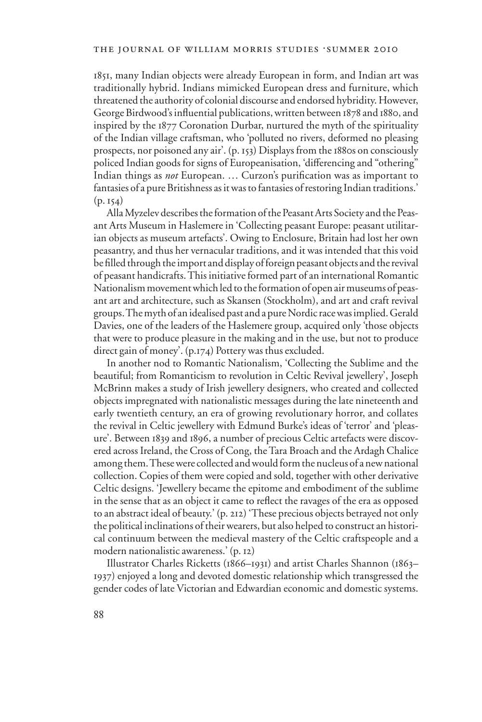1851, many Indian objects were already European in form, and Indian art was traditionally hybrid. Indians mimicked European dress and furniture, which threatened the authority of colonial discourse and endorsed hybridity. However, George Birdwood's influential publications, written between 1878 and 1880, and inspired by the 1877 Coronation Durbar, nurtured the myth of the spirituality of the Indian village craftsman, who 'polluted no rivers, deformed no pleasing prospects, nor poisoned any air'. (p. 153) Displays from the 1880s on consciously policed Indian goods for signs of Europeanisation, 'differencing and "othering" Indian things as *not* European. ... Curzon's purification was as important to fantasies of a pure Britishness as it was to fantasies of restoring Indian traditions.'  $(p. 154)$ 

Alla Myzelev describes the formation of the Peasant Arts Society and the Peasant Arts Museum in Haslemere in 'Collecting peasant Europe: peasant utilitarian objects as museum artefacts'. Owing to Enclosure, Britain had lost her own peasantry, and thus her vernacular traditions, and it was intended that this void be filled through the import and display of foreign peasant objects and the revival of peasant handicrafts. This initiative formed part of an international Romantic Nationalism movement which led to the formation of open air museums of peasant art and architecture, such as Skansen (Stockholm), and art and craft revival groups. The myth of an idealised past and a pure Nordic race was implied. Gerald Davies, one of the leaders of the Haslemere group, acquired only 'those objects that were to produce pleasure in the making and in the use, but not to produce direct gain of money'. (p.174) Pottery was thus excluded.

In another nod to Romantic Nationalism, 'Collecting the Sublime and the beautiful; from Romanticism to revolution in Celtic Revival jewellery', Joseph McBrinn makes a study of Irish jewellery designers, who created and collected objects impregnated with nationalistic messages during the late nineteenth and early twentieth century, an era of growing revolutionary horror, and collates the revival in Celtic jewellery with Edmund Burke's ideas of 'terror' and 'pleasure'. Between 1839 and 1896, a number of precious Celtic artefacts were discovered across Ireland, the Cross of Cong, the Tara Broach and the Ardagh Chalice among them. These were collected and would form the nucleus of a new national collection. Copies of them were copied and sold, together with other derivative Celtic designs. 'Jewellery became the epitome and embodiment of the sublime in the sense that as an object it came to reflect the ravages of the era as opposed to an abstract ideal of beauty.' (p. 212) 'These precious objects betrayed not only the political inclinations of their wearers, but also helped to construct an historical continuum between the medieval mastery of the Celtic craftspeople and a modern nationalistic awareness.' (p. 12)

Illustrator Charles Ricketts (1866–1931) and artist Charles Shannon (1863– 1937) enjoyed a long and devoted domestic relationship which transgressed the gender codes of late Victorian and Edwardian economic and domestic systems.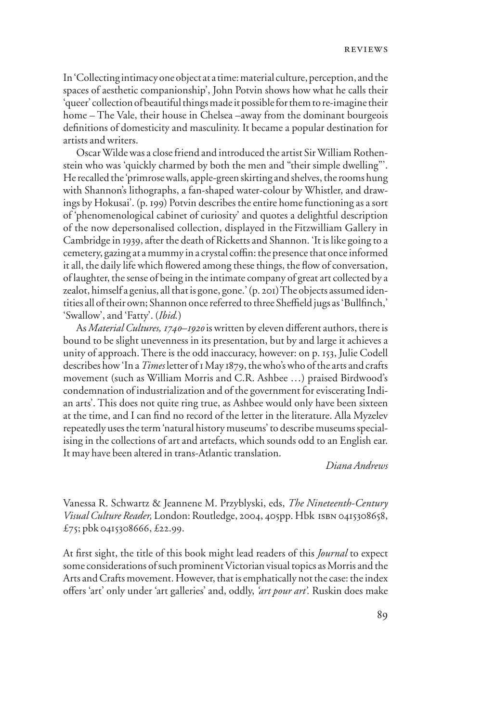In 'Collecting intimacy one object at a time: material culture, perception, and the spaces of aesthetic companionship', John Potvin shows how what he calls their 'queer' collection of beautiful things made it possible for them to re-imagine their home – The Vale, their house in Chelsea –away from the dominant bourgeois definitions of domesticity and masculinity. It became a popular destination for artists and writers.

Oscar Wilde was a close friend and introduced the artist Sir William Rothenstein who was 'quickly charmed by both the men and "their simple dwelling"'. He recalled the 'primrose walls, apple-green skirting and shelves, the rooms hung with Shannon's lithographs, a fan-shaped water-colour by Whistler, and drawings by Hokusai'. (p. 199) Potvin describes the entire home functioning as a sort of 'phenomenological cabinet of curiosity' and quotes a delightful description of the now depersonalised collection, displayed in the Fitzwilliam Gallery in Cambridge in 1939, after the death of Ricketts and Shannon. 'It is like going to a cemetery, gazing at a mummy in a crystal coffin: the presence that once informed it all, the daily life which flowered among these things, the flow of conversation, of laughter, the sense of being in the intimate company of great art collected by a zealot, himself a genius, all that is gone, gone.' (p. 201) The objects assumed identities all of their own; Shannon once referred to three Sheffield jugs as 'Bullfinch,' 'Swallow', and 'Fatty'. (*Ibid.*)

As *Material Cultures, 1740–1920* is written by eleven different authors, there is bound to be slight unevenness in its presentation, but by and large it achieves a unity of approach. There is the odd inaccuracy, however: on p. 153, Julie Codell describes how 'In a *Times* letter of 1 May 1879, the who's who of the arts and crafts movement (such as William Morris and C.R. Ashbee …) praised Birdwood's condemnation of industrialization and of the government for eviscerating Indian arts'. This does not quite ring true, as Ashbee would only have been sixteen at the time, and I can find no record of the letter in the literature. Alla Myzelev repeatedly uses the term 'natural history museums' to describe museums specialising in the collections of art and artefacts, which sounds odd to an English ear. It may have been altered in trans-Atlantic translation.

## *Diana Andrews*

Vanessa R. Schwartz & Jeannene M. Przyblyski, eds, *The Nineteenth-Century Visual Culture Reader,* London: Routledge, 2004, 405pp. Hbk isbn 0415308658, £75; pbk 0415308666, £22.99.

At first sight, the title of this book might lead readers of this *Journal* to expect some considerations of such prominent Victorian visual topics as Morris and the Arts and Crafts movement. However, that is emphatically not the case: the index offers 'art' only under 'art galleries' and, oddly, 'art pour art'. Ruskin does make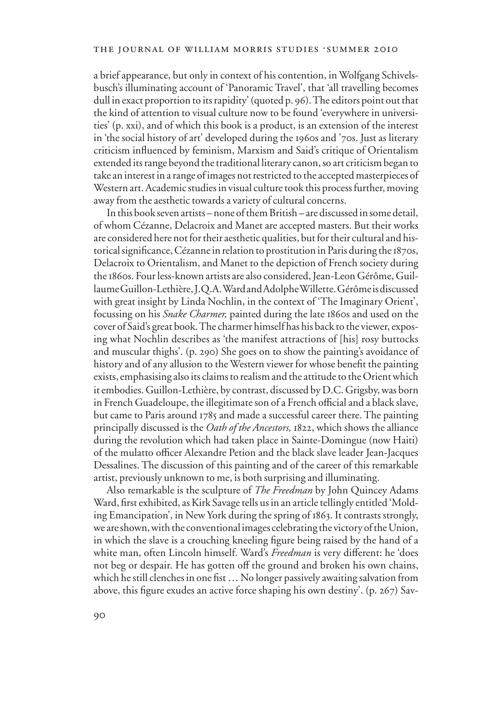a brief appearance, but only in context of his contention, in Wolfgang Schivelsbusch's illuminating account of 'Panoramic Travel', that 'all travelling becomes dull in exact proportion to its rapidity' (quoted p. 96). The editors point out that the kind of attention to visual culture now to be found 'everywhere in universities' (p. xxi), and of which this book is a product, is an extension of the interest in 'the social history of art' developed during the 1960s and '70s. Just as literary criticism influenced by feminism, Marxism and Said's critique of Orientalism extended its range beyond the traditional literary canon, so art criticism began to take an interest in a range of images not restricted to the accepted masterpieces of Western art. Academic studies in visual culture took this process further, moving away from the aesthetic towards a variety of cultural concerns.

In this book seven artists – none of them British – are discussed in some detail, of whom Cézanne, Delacroix and Manet are accepted masters. But their works are considered here not for their aesthetic qualities, but for their cultural and historical significance, Cézanne in relation to prostitution in Paris during the 1870s, Delacroix to Orientalism, and Manet to the depiction of French society during the 1860s. Four less-known artists are also considered, Jean-Leon Gérôme, Guillaume Guillon-Lethière, J.Q.A. Ward and Adolphe Willette. Gérôme is discussed with great insight by Linda Nochlin, in the context of 'The Imaginary Orient', focussing on his *Snake Charmer,* painted during the late 1860s and used on the cover of Said's great book. The charmer himself has his back to the viewer, exposing what Nochlin describes as 'the manifest attractions of [his] rosy buttocks and muscular thighs'. (p. 290) She goes on to show the painting's avoidance of history and of any allusion to the Western viewer for whose benefit the painting exists, emphasising also its claims to realism and the attitude to the Orient which it embodies. Guillon-Lethière, by contrast, discussed by D.C. Grigsby, was born in French Guadeloupe, the illegitimate son of a French official and a black slave, but came to Paris around 1785 and made a successful career there. The painting principally discussed is the *Oath of the Ancestors,* 1822, which shows the alliance during the revolution which had taken place in Sainte-Domingue (now Haiti) of the mulatto officer Alexandre Petion and the black slave leader Jean-Jacques Dessalines. The discussion of this painting and of the career of this remarkable artist, previously unknown to me, is both surprising and illuminating.

Also remarkable is the sculpture of *The Freedman* by John Quincey Adams Ward, first exhibited, as Kirk Savage tells us in an article tellingly entitled 'Molding Emancipation', in New York during the spring of 1863. It contrasts strongly, we are shown, with the conventional images celebrating the victory of the Union, in which the slave is a crouching kneeling figure being raised by the hand of a white man, often Lincoln himself. Ward's Freedman is very different: he 'does not beg or despair. He has gotten off the ground and broken his own chains, which he still clenches in one fist  $\dots$  No longer passively awaiting salvation from above, this figure exudes an active force shaping his own destiny'. (p. 267) Sav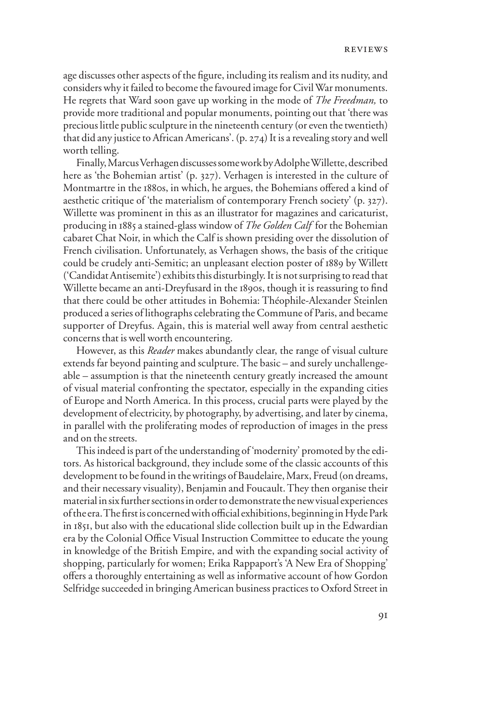age discusses other aspects of the figure, including its realism and its nudity, and considers why it failed to become the favoured image for Civil War monuments. He regrets that Ward soon gave up working in the mode of *The Freedman,* to provide more traditional and popular monuments, pointing out that 'there was precious little public sculpture in the nineteenth century (or even the twentieth) that did any justice to African Americans'. (p. 274) It is a revealing story and well worth telling.

Finally, Marcus Verhagen discusses some work by Adolphe Willette, described here as 'the Bohemian artist' (p. 327). Verhagen is interested in the culture of Montmartre in the 1880s, in which, he argues, the Bohemians offered a kind of aesthetic critique of 'the materialism of contemporary French society' (p. 327). Willette was prominent in this as an illustrator for magazines and caricaturist, producing in 1885 a stained-glass window of *The Golden Calf* for the Bohemian cabaret Chat Noir, in which the Calf is shown presiding over the dissolution of French civilisation. Unfortunately, as Verhagen shows, the basis of the critique could be crudely anti-Semitic; an unpleasant election poster of 1889 by Willett ('Candidat Antisemite') exhibits this disturbingly. It is not surprising to read that Willette became an anti-Dreyfusard in the 1890s, though it is reassuring to find that there could be other attitudes in Bohemia: Théophile-Alexander Steinlen produced a series of lithographs celebrating the Commune of Paris, and became supporter of Dreyfus. Again, this is material well away from central aesthetic concerns that is well worth encountering.

However, as this *Reader* makes abundantly clear, the range of visual culture extends far beyond painting and sculpture. The basic – and surely unchallengeable – assumption is that the nineteenth century greatly increased the amount of visual material confronting the spectator, especially in the expanding cities of Europe and North America. In this process, crucial parts were played by the development of electricity, by photography, by advertising, and later by cinema, in parallel with the proliferating modes of reproduction of images in the press and on the streets.

This indeed is part of the understanding of 'modernity' promoted by the editors. As historical background, they include some of the classic accounts of this development to be found in the writings of Baudelaire, Marx, Freud (on dreams, and their necessary visuality), Benjamin and Foucault. They then organise their material in six further sections in order to demonstrate the new visual experiences of the era. The first is concerned with official exhibitions, beginning in Hyde Park in 1851, but also with the educational slide collection built up in the Edwardian era by the Colonial Office Visual Instruction Committee to educate the young in knowledge of the British Empire, and with the expanding social activity of shopping, particularly for women; Erika Rappaport's 'A New Era of Shopping' offers a thoroughly entertaining as well as informative account of how Gordon Selfridge succeeded in bringing American business practices to Oxford Street in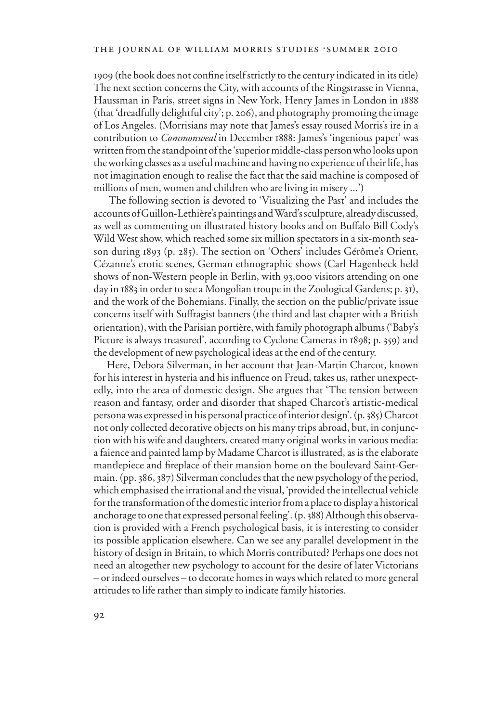1909 (the book does not confine itself strictly to the century indicated in its title) The next section concerns the City, with accounts of the Ringstrasse in Vienna, Haussman in Paris, street signs in New York, Henry James in London in 1888 (that 'dreadfully delightful city'; p. 206), and photography promoting the image of Los Angeles. (Morrisians may note that James's essay roused Morris's ire in a contribution to *Commonweal* in December 1888: James's 'ingenious paper' was written from the standpoint of the 'superior middle-class person who looks upon the working classes as a useful machine and having no experience of their life, has not imagination enough to realise the fact that the said machine is composed of millions of men, women and children who are living in misery ...')

 The following section is devoted to 'Visualizing the Past' and includes the accounts of Guillon-Lethière's paintings and Ward's sculpture, already discussed, as well as commenting on illustrated history books and on Buffalo Bill Cody's Wild West show, which reached some six million spectators in a six-month season during 1893 (p. 285). The section on 'Others' includes Gérôme's Orient, Cézanne's erotic scenes, German ethnographic shows (Carl Hagenbeck held shows of non-Western people in Berlin, with 93,000 visitors attending on one day in 1883 in order to see a Mongolian troupe in the Zoological Gardens; p. 31), and the work of the Bohemians. Finally, the section on the public/private issue concerns itself with Suffragist banners (the third and last chapter with a British orientation), with the Parisian portière, with family photograph albums ('Baby's Picture is always treasured', according to Cyclone Cameras in 1898; p. 359) and the development of new psychological ideas at the end of the century.

Here, Debora Silverman, in her account that Jean-Martin Charcot, known for his interest in hysteria and his influence on Freud, takes us, rather unexpectedly, into the area of domestic design. She argues that 'The tension between reason and fantasy, order and disorder that shaped Charcot's artistic-medical persona was expressed in his personal practice of interior design'. (p. 385) Charcot not only collected decorative objects on his many trips abroad, but, in conjunction with his wife and daughters, created many original works in various media: a faience and painted lamp by Madame Charcot is illustrated, as is the elaborate mantlepiece and fireplace of their mansion home on the boulevard Saint-Germain. (pp. 386, 387) Silverman concludes that the new psychology of the period, which emphasised the irrational and the visual, 'provided the intellectual vehicle for the transformation of the domestic interior from a place to display a historical anchorage to one that expressed personal feeling'. (p. 388) Although this observation is provided with a French psychological basis, it is interesting to consider its possible application elsewhere. Can we see any parallel development in the history of design in Britain, to which Morris contributed? Perhaps one does not need an altogether new psychology to account for the desire of later Victorians – or indeed ourselves – to decorate homes in ways which related to more general attitudes to life rather than simply to indicate family histories.